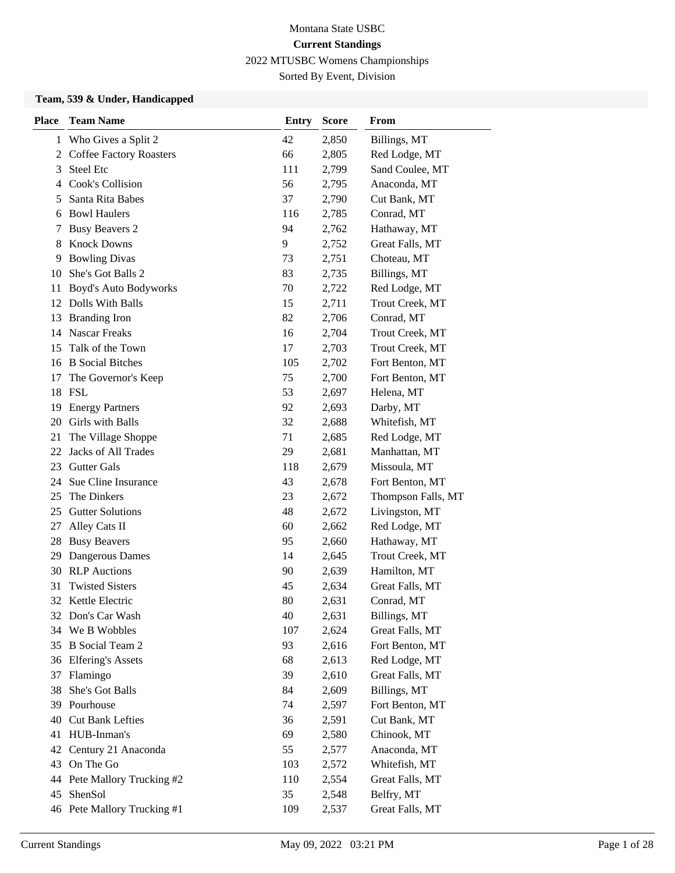### Sorted By Event, Division

#### **Team, 539 & Under, Handicapped**

| <b>Place</b> | <b>Team Name</b>               | <b>Entry</b> | <b>Score</b> | From               |
|--------------|--------------------------------|--------------|--------------|--------------------|
| 1            | Who Gives a Split 2            | 42           | 2,850        | Billings, MT       |
| 2            | <b>Coffee Factory Roasters</b> | 66           | 2,805        | Red Lodge, MT      |
| 3            | <b>Steel Etc</b>               | 111          | 2,799        | Sand Coulee, MT    |
| 4            | Cook's Collision               | 56           | 2,795        | Anaconda, MT       |
| 5            | Santa Rita Babes               | 37           | 2,790        | Cut Bank, MT       |
| 6            | <b>Bowl Haulers</b>            | 116          | 2,785        | Conrad, MT         |
| 7            | <b>Busy Beavers 2</b>          | 94           | 2,762        | Hathaway, MT       |
| 8            | <b>Knock Downs</b>             | 9            | 2,752        | Great Falls, MT    |
| 9            | <b>Bowling Divas</b>           | 73           | 2,751        | Choteau, MT        |
| 10           | She's Got Balls 2              | 83           | 2,735        | Billings, MT       |
| 11           | Boyd's Auto Bodyworks          | 70           | 2,722        | Red Lodge, MT      |
|              | 12 Dolls With Balls            | 15           | 2,711        | Trout Creek, MT    |
| 13           | <b>Branding Iron</b>           | 82           | 2,706        | Conrad, MT         |
| 14           | <b>Nascar Freaks</b>           | 16           | 2,704        | Trout Creek, MT    |
| 15           | Talk of the Town               | 17           | 2,703        | Trout Creek, MT    |
|              | 16 B Social Bitches            | 105          | 2,702        | Fort Benton, MT    |
| 17           | The Governor's Keep            | 75           | 2,700        | Fort Benton, MT    |
|              | 18 FSL                         | 53           | 2,697        | Helena, MT         |
| 19           | <b>Energy Partners</b>         | 92           | 2,693        | Darby, MT          |
| 20           | Girls with Balls               | 32           | 2,688        | Whitefish, MT      |
| 21           | The Village Shoppe             | 71           | 2,685        | Red Lodge, MT      |
| 22           | <b>Jacks of All Trades</b>     | 29           | 2,681        | Manhattan, MT      |
| 23           | <b>Gutter Gals</b>             | 118          | 2,679        | Missoula, MT       |
| 24           | Sue Cline Insurance            | 43           | 2,678        | Fort Benton, MT    |
| 25           | The Dinkers                    | 23           | 2,672        | Thompson Falls, MT |
| 25           | <b>Gutter Solutions</b>        | 48           | 2,672        | Livingston, MT     |
| 27           | Alley Cats II                  | 60           | 2,662        | Red Lodge, MT      |
| 28           | <b>Busy Beavers</b>            | 95           | 2,660        | Hathaway, MT       |
| 29           | Dangerous Dames                | 14           | 2,645        | Trout Creek, MT    |
|              | 30 RLP Auctions                | 90           | 2,639        | Hamilton, MT       |
| 31           | <b>Twisted Sisters</b>         | 45           | 2,634        | Great Falls, MT    |
|              | 32 Kettle Electric             | 80           | 2,631        | Conrad, MT         |
|              | 32 Don's Car Wash              | 40           | 2,631        | Billings, MT       |
|              | 34 We B Wobbles                | 107          | 2,624        | Great Falls, MT    |
| 35           | B Social Team 2                | 93           | 2,616        | Fort Benton, MT    |
|              | 36 Elfering's Assets           | 68           | 2,613        | Red Lodge, MT      |
| 37           | Flamingo                       | 39           | 2,610        | Great Falls, MT    |
| 38           | She's Got Balls                | 84           | 2,609        | Billings, MT       |
| 39           | Pourhouse                      | 74           | 2,597        | Fort Benton, MT    |
| 40           | <b>Cut Bank Lefties</b>        | 36           | 2,591        | Cut Bank, MT       |
| 41           | HUB-Inman's                    | 69           | 2,580        | Chinook, MT        |
| 42           | Century 21 Anaconda            | 55           | 2,577        | Anaconda, MT       |
| 43           | On The Go                      | 103          | 2,572        | Whitefish, MT      |
| 44           | Pete Mallory Trucking #2       | 110          | 2,554        | Great Falls, MT    |
| 45           | ShenSol                        | 35           | 2,548        | Belfry, MT         |
|              | 46 Pete Mallory Trucking #1    | 109          | 2,537        | Great Falls, MT    |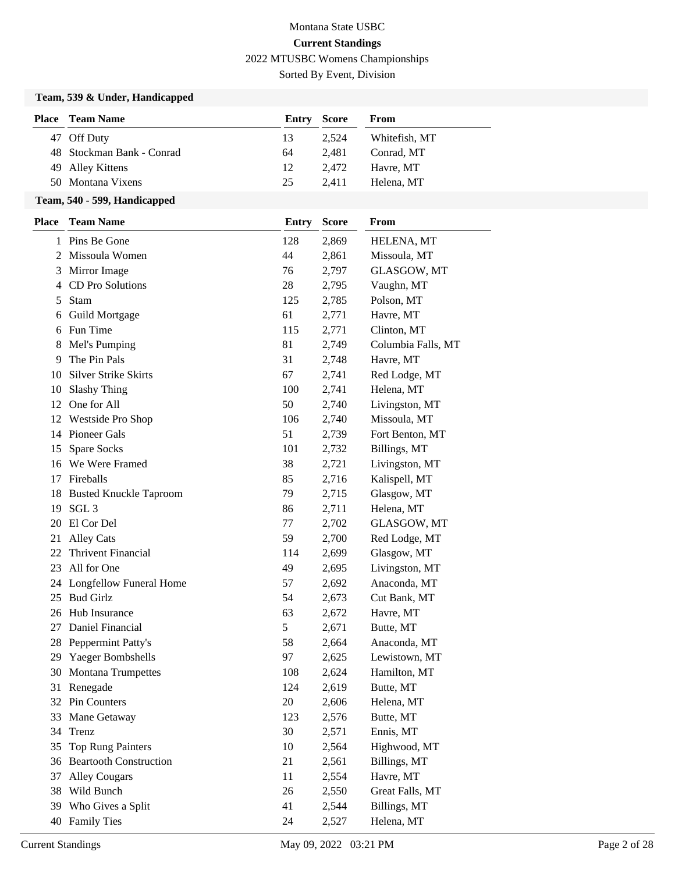Sorted By Event, Division

### **Team, 539 & Under, Handicapped**

| <b>Place</b> Team Name    | <b>Entry Score</b> |       | From          |
|---------------------------|--------------------|-------|---------------|
| 47 Off Duty               | 13                 | 2.524 | Whitefish, MT |
| 48 Stockman Bank - Conrad | 64                 | 2.481 | Conrad. MT    |
| 49 Alley Kittens          | 12                 | 2.472 | Havre, MT     |
| 50 Montana Vixens         | 25                 | 2.411 | Helena, MT    |

#### **Team, 540 - 599, Handicapped**

| <b>Place</b> | <b>Team Name</b>               | <b>Entry</b> | <b>Score</b> | From               |
|--------------|--------------------------------|--------------|--------------|--------------------|
|              | 1 Pins Be Gone                 | 128          | 2,869        | HELENA, MT         |
|              | 2 Missoula Women               | 44           | 2,861        | Missoula, MT       |
| 3            | Mirror Image                   | 76           | 2,797        | GLASGOW, MT        |
| 4            | CD Pro Solutions               | 28           | 2,795        | Vaughn, MT         |
| 5            | <b>Stam</b>                    | 125          | 2,785        | Polson, MT         |
| 6            | Guild Mortgage                 | 61           | 2,771        | Havre, MT          |
| 6            | Fun Time                       | 115          | 2,771        | Clinton, MT        |
| 8            | Mel's Pumping                  | 81           | 2,749        | Columbia Falls, MT |
| 9            | The Pin Pals                   | 31           | 2,748        | Havre, MT          |
| 10           | <b>Silver Strike Skirts</b>    | 67           | 2,741        | Red Lodge, MT      |
| 10           | <b>Slashy Thing</b>            | 100          | 2,741        | Helena, MT         |
| 12           | One for All                    | 50           | 2,740        | Livingston, MT     |
| 12           | <b>Westside Pro Shop</b>       | 106          | 2,740        | Missoula, MT       |
| 14           | Pioneer Gals                   | 51           | 2,739        | Fort Benton, MT    |
| 15           | Spare Socks                    | 101          | 2,732        | Billings, MT       |
|              | 16 We Were Framed              | 38           | 2,721        | Livingston, MT     |
| 17           | Fireballs                      | 85           | 2,716        | Kalispell, MT      |
| 18           | <b>Busted Knuckle Taproom</b>  | 79           | 2,715        | Glasgow, MT        |
| 19           | SGL <sub>3</sub>               | 86           | 2,711        | Helena, MT         |
| 20           | El Cor Del                     | 77           | 2,702        | GLASGOW, MT        |
| 21           | <b>Alley Cats</b>              | 59           | 2,700        | Red Lodge, MT      |
| 22           | <b>Thrivent Financial</b>      | 114          | 2,699        | Glasgow, MT        |
| 23           | All for One                    | 49           | 2,695        | Livingston, MT     |
| 24           | <b>Longfellow Funeral Home</b> | 57           | 2,692        | Anaconda, MT       |
| 25           | <b>Bud Girlz</b>               | 54           | 2,673        | Cut Bank, MT       |
| 26           | Hub Insurance                  | 63           | 2,672        | Havre, MT          |
| 27           | Daniel Financial               | 5            | 2,671        | Butte, MT          |
| 28           | Peppermint Patty's             | 58           | 2,664        | Anaconda, MT       |
| 29           | Yaeger Bombshells              | 97           | 2,625        | Lewistown, MT      |
| 30           | <b>Montana Trumpettes</b>      | 108          | 2,624        | Hamilton, MT       |
| 31           | Renegade                       | 124          | 2,619        | Butte, MT          |
|              | 32 Pin Counters                | 20           | 2,606        | Helena, MT         |
|              | 33 Mane Getaway                | 123          | 2,576        | Butte, MT          |
|              | 34 Trenz                       | 30           | 2,571        | Ennis, MT          |
| 35           | <b>Top Rung Painters</b>       | 10           | 2,564        | Highwood, MT       |
|              | 36 Beartooth Construction      | 21           | 2,561        | Billings, MT       |
| 37           | <b>Alley Cougars</b>           | 11           | 2,554        | Havre, MT          |
| 38           | Wild Bunch                     | 26           | 2,550        | Great Falls, MT    |
|              | 39 Who Gives a Split           | 41           | 2,544        | Billings, MT       |
| 40           | <b>Family Ties</b>             | 24           | 2,527        | Helena, MT         |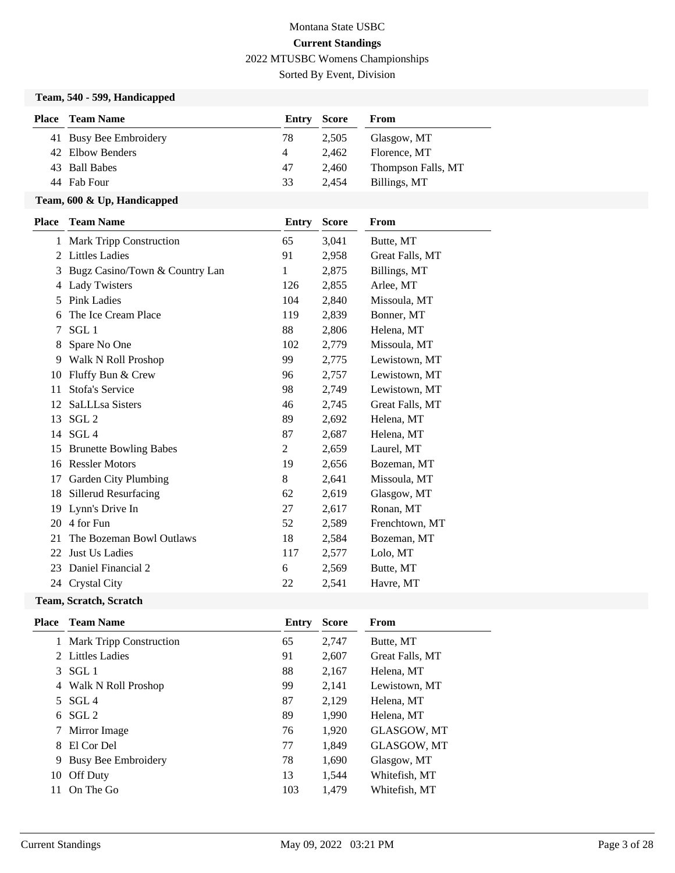Sorted By Event, Division

### **Team, 540 - 599, Handicapped**

| Place | Team Name              | Entry Score |       | From               |
|-------|------------------------|-------------|-------|--------------------|
|       | 41 Busy Bee Embroidery | 78          | 2.505 | Glasgow, MT        |
|       | 42 Elbow Benders       | 4           | 2.462 | Florence, MT       |
|       | 43 Ball Babes          | 47          | 2.460 | Thompson Falls, MT |
|       | 44 Fab Four            | 33          | 2.454 | Billings, MT       |

### **Team, 600 & Up, Handicapped**

| <b>Place</b> | <b>Team Name</b>               | <b>Entry</b> | <b>Score</b> | From            |
|--------------|--------------------------------|--------------|--------------|-----------------|
|              | 1 Mark Tripp Construction      | 65           | 3,041        | Butte, MT       |
| 2            | <b>Littles Ladies</b>          | 91           | 2,958        | Great Falls, MT |
| 3            | Bugz Casino/Town & Country Lan | 1            | 2,875        | Billings, MT    |
| 4            | <b>Lady Twisters</b>           | 126          | 2,855        | Arlee, MT       |
| 5            | <b>Pink Ladies</b>             | 104          | 2,840        | Missoula, MT    |
| 6            | The Ice Cream Place            | 119          | 2,839        | Bonner, MT      |
| 7            | SGL 1                          | 88           | 2,806        | Helena, MT      |
| 8            | Spare No One                   | 102          | 2,779        | Missoula, MT    |
| 9            | Walk N Roll Proshop            | 99           | 2,775        | Lewistown, MT   |
| 10           | Fluffy Bun & Crew              | 96           | 2,757        | Lewistown, MT   |
| 11           | Stofa's Service                | 98           | 2,749        | Lewistown, MT   |
| 12           | SaLLLsa Sisters                | 46           | 2,745        | Great Falls, MT |
| 13           | SGL <sub>2</sub>               | 89           | 2,692        | Helena, MT      |
| 14           | SGL <sub>4</sub>               | 87           | 2,687        | Helena, MT      |
| 15           | <b>Brunette Bowling Babes</b>  | 2            | 2,659        | Laurel, MT      |
| 16           | <b>Ressler Motors</b>          | 19           | 2,656        | Bozeman, MT     |
| 17           | Garden City Plumbing           | 8            | 2,641        | Missoula, MT    |
| 18           | <b>Sillerud Resurfacing</b>    | 62           | 2,619        | Glasgow, MT     |
| 19           | Lynn's Drive In                | 27           | 2,617        | Ronan, MT       |
| 20           | 4 for Fun                      | 52           | 2,589        | Frenchtown, MT  |
| 21           | The Bozeman Bowl Outlaws       | 18           | 2,584        | Bozeman, MT     |
| 22           | Just Us Ladies                 | 117          | 2,577        | Lolo, MT        |
| 23           | Daniel Financial 2             | 6            | 2,569        | Butte, MT       |
| 24           | <b>Crystal City</b>            | 22           | 2,541        | Havre, MT       |
|              |                                |              |              |                 |

#### **Team, Scratch, Scratch**

|    | <b>Place</b> Team Name     | Entry | <b>Score</b> | From               |
|----|----------------------------|-------|--------------|--------------------|
|    | 1 Mark Tripp Construction  | 65    | 2,747        | Butte, MT          |
|    | 2 Littles Ladies           | 91    | 2,607        | Great Falls, MT    |
| 3  | SGL 1                      | 88    | 2,167        | Helena, MT         |
|    | 4 Walk N Roll Proshop      | 99    | 2.141        | Lewistown, MT      |
| 5  | SGL 4                      | 87    | 2,129        | Helena, MT         |
| 6  | SGL <sub>2</sub>           | 89    | 1,990        | Helena, MT         |
| 7  | Mirror Image               | 76    | 1,920        | <b>GLASGOW, MT</b> |
| 8  | El Cor Del                 | 77    | 1,849        | GLASGOW, MT        |
| 9  | <b>Busy Bee Embroidery</b> | 78    | 1,690        | Glasgow, MT        |
| 10 | Off Duty                   | 13    | 1,544        | Whitefish, MT      |
| 11 | On The Go                  | 103   | 1.479        | Whitefish, MT      |
|    |                            |       |              |                    |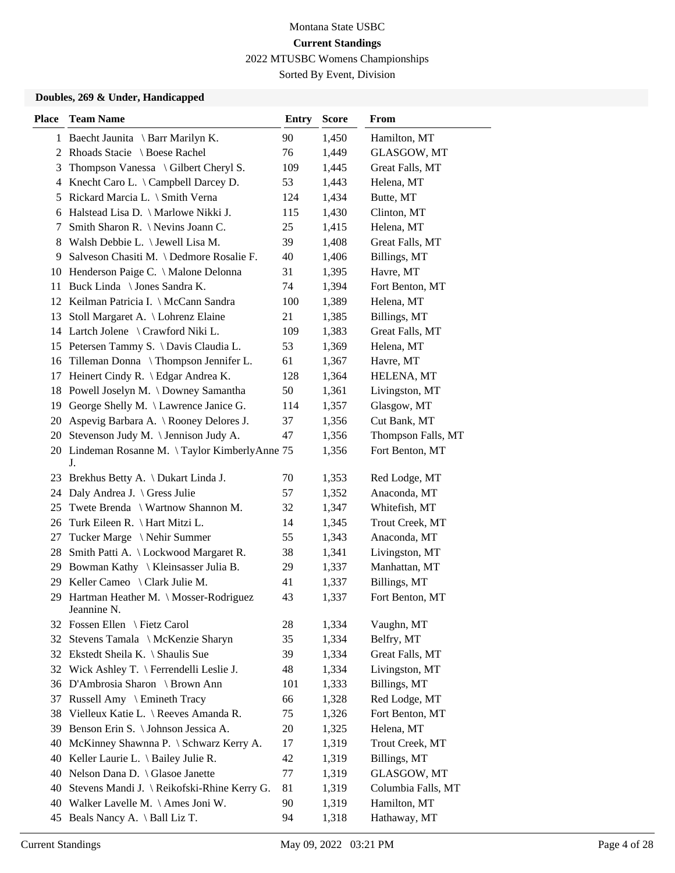Sorted By Event, Division

#### **Doubles, 269 & Under, Handicapped**

| <b>Place</b> | <b>Team Name</b>                                     | <b>Entry</b> | <b>Score</b> | From               |
|--------------|------------------------------------------------------|--------------|--------------|--------------------|
|              | 1 Baecht Jaunita \ Barr Marilyn K.                   | 90           | 1,450        | Hamilton, MT       |
|              | 2 Rhoads Stacie \ Boese Rachel                       | 76           | 1,449        | GLASGOW, MT        |
| 3            | Thompson Vanessa \ Gilbert Cheryl S.                 | 109          | 1,445        | Great Falls, MT    |
| 4            | Knecht Caro L. \ Campbell Darcey D.                  | 53           | 1,443        | Helena, MT         |
| 5            | Rickard Marcia L. \ Smith Verna                      | 124          | 1,434        | Butte, MT          |
| 6            | Halstead Lisa D. \ Marlowe Nikki J.                  | 115          | 1,430        | Clinton, MT        |
| 7            | Smith Sharon R. \ Nevins Joann C.                    | 25           | 1,415        | Helena, MT         |
| 8            | Walsh Debbie L. \ Jewell Lisa M.                     | 39           | 1,408        | Great Falls, MT    |
| 9            | Salveson Chasiti M. \ Dedmore Rosalie F.             | 40           | 1,406        | Billings, MT       |
|              | 10 Henderson Paige C. \ Malone Delonna               | 31           | 1,395        | Havre, MT          |
| 11           | Buck Linda \ Jones Sandra K.                         | 74           | 1,394        | Fort Benton, MT    |
|              | 12 Keilman Patricia I. \ McCann Sandra               | 100          | 1,389        | Helena, MT         |
| 13           | Stoll Margaret A. \ Lohrenz Elaine                   | 21           | 1,385        | Billings, MT       |
|              | 14 Lartch Jolene \ Crawford Niki L.                  | 109          | 1,383        | Great Falls, MT    |
|              | 15 Petersen Tammy S. \ Davis Claudia L.              | 53           | 1,369        | Helena, MT         |
|              | 16 Tilleman Donna \ Thompson Jennifer L.             | 61           | 1,367        | Havre, MT          |
| 17           | Heinert Cindy R. \ Edgar Andrea K.                   | 128          | 1,364        | HELENA, MT         |
| 18           | Powell Joselyn M. \ Downey Samantha                  | 50           | 1,361        | Livingston, MT     |
| 19           | George Shelly M. \ Lawrence Janice G.                | 114          | 1,357        | Glasgow, MT        |
| 20           | Aspevig Barbara A. \ Rooney Delores J.               | 37           | 1,356        | Cut Bank, MT       |
|              | 20 Stevenson Judy M. \ Jennison Judy A.              | 47           | 1,356        | Thompson Falls, MT |
|              | 20 Lindeman Rosanne M. \Taylor KimberlyAnne 75<br>J. |              | 1,356        | Fort Benton, MT    |
| 23           | Brekhus Betty A. \ Dukart Linda J.                   | 70           | 1,353        | Red Lodge, MT      |
| 24           | Daly Andrea J. \ Gress Julie                         | 57           | 1,352        | Anaconda, MT       |
| 25           | Twete Brenda \ Wartnow Shannon M.                    | 32           | 1,347        | Whitefish, MT      |
| 26           | Turk Eileen R. \ Hart Mitzi L.                       | 14           | 1,345        | Trout Creek, MT    |
| 27           | Tucker Marge \ Nehir Summer                          | 55           | 1,343        | Anaconda, MT       |
| 28           | Smith Patti A. \ Lockwood Margaret R.                | 38           | 1,341        | Livingston, MT     |
| 29           | Bowman Kathy \ Kleinsasser Julia B.                  | 29           | 1,337        | Manhattan, MT      |
|              | 29 Keller Cameo \ Clark Julie M.                     | 41           | 1,337        | Billings, MT       |
| 29           | Hartman Heather M. \ Mosser-Rodriguez<br>Jeannine N. | 43           | 1,337        | Fort Benton, MT    |
|              | 32 Fossen Ellen \ Fietz Carol                        | 28           | 1,334        | Vaughn, MT         |
|              | 32 Stevens Tamala \ McKenzie Sharyn                  | 35           | 1,334        | Belfry, MT         |
| 32           | Ekstedt Sheila K. \ Shaulis Sue                      | 39           | 1,334        | Great Falls, MT    |
|              | 32 Wick Ashley T. \ Ferrendelli Leslie J.            | 48           | 1,334        | Livingston, MT     |
|              | 36 D'Ambrosia Sharon \ Brown Ann                     | 101          | 1,333        | Billings, MT       |
| 37           | Russell Amy \ Emineth Tracy                          | 66           | 1,328        | Red Lodge, MT      |
| 38           | Vielleux Katie L. \ Reeves Amanda R.                 | 75           | 1,326        | Fort Benton, MT    |
| 39           | Benson Erin S. \ Johnson Jessica A.                  | 20           | 1,325        | Helena, MT         |
| 40           | McKinney Shawnna P. \ Schwarz Kerry A.               | 17           | 1,319        | Trout Creek, MT    |
| 40           | Keller Laurie L. $\setminus$ Bailey Julie R.         | 42           | 1,319        | Billings, MT       |
| 40           | Nelson Dana D. \ Glasoe Janette                      | 77           | 1,319        | GLASGOW, MT        |
| 40           | Stevens Mandi J. \ Reikofski-Rhine Kerry G.          | 81           | 1,319        | Columbia Falls, MT |
|              | 40 Walker Lavelle M. \ Ames Joni W.                  | 90           | 1,319        | Hamilton, MT       |
| 45           | Beals Nancy A. \ Ball Liz T.                         | 94           | 1,318        | Hathaway, MT       |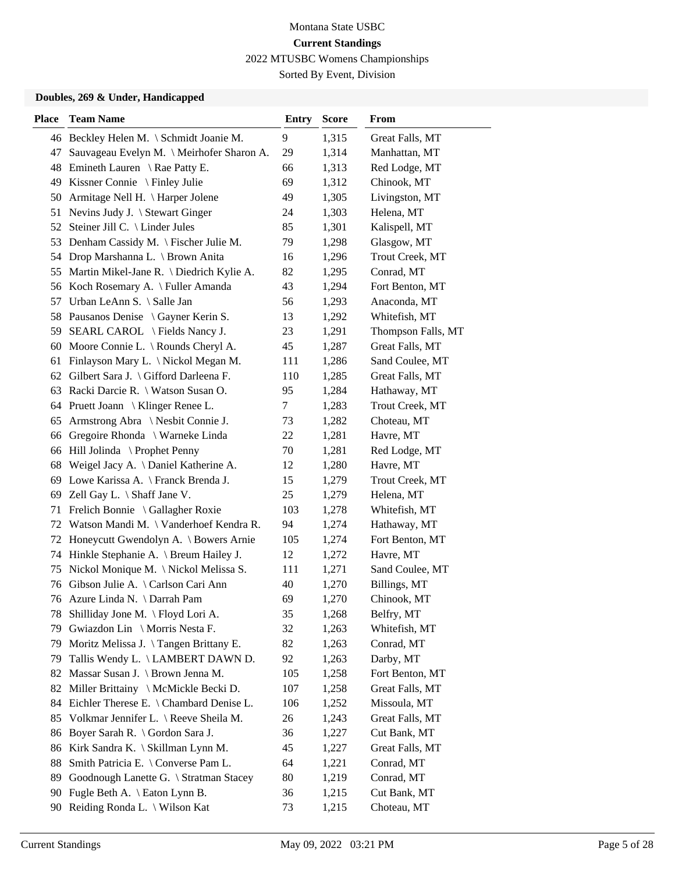Sorted By Event, Division

#### **Doubles, 269 & Under, Handicapped**

| <b>Place</b> | <b>Team Name</b>                          | <b>Entry</b> | <b>Score</b> | From               |
|--------------|-------------------------------------------|--------------|--------------|--------------------|
|              | 46 Beckley Helen M. \ Schmidt Joanie M.   | 9            | 1,315        | Great Falls, MT    |
| 47           | Sauvageau Evelyn M. \ Meirhofer Sharon A. | 29           | 1,314        | Manhattan, MT      |
|              | 48 Emineth Lauren \ Rae Patty E.          | 66           | 1,313        | Red Lodge, MT      |
| 49           | Kissner Connie \ Finley Julie             | 69           | 1,312        | Chinook, MT        |
| 50           | Armitage Nell H. \ Harper Jolene          | 49           | 1,305        | Livingston, MT     |
| 51           | Nevins Judy J. \ Stewart Ginger           | 24           | 1,303        | Helena, MT         |
| 52           | Steiner Jill C. \ Linder Jules            | 85           | 1,301        | Kalispell, MT      |
|              | 53 Denham Cassidy M. \ Fischer Julie M.   | 79           | 1,298        | Glasgow, MT        |
| 54           | Drop Marshanna L. \ Brown Anita           | 16           | 1,296        | Trout Creek, MT    |
| 55           | Martin Mikel-Jane R. \ Diedrich Kylie A.  | 82           | 1,295        | Conrad, MT         |
|              | 56 Koch Rosemary A. \ Fuller Amanda       | 43           | 1,294        | Fort Benton, MT    |
| 57           | Urban LeAnn S. \ Salle Jan                | 56           | 1,293        | Anaconda, MT       |
| 58           | Pausanos Denise \ Gayner Kerin S.         | 13           | 1,292        | Whitefish, MT      |
| 59           | SEARL CAROL \ Fields Nancy J.             | 23           | 1,291        | Thompson Falls, MT |
| 60           | Moore Connie L. \ Rounds Cheryl A.        | 45           | 1,287        | Great Falls, MT    |
| 61           | Finlayson Mary L. \ Nickol Megan M.       | 111          | 1,286        | Sand Coulee, MT    |
| 62           | Gilbert Sara J. \ Gifford Darleena F.     | 110          | 1,285        | Great Falls, MT    |
| 63           | Racki Darcie R. \ Watson Susan O.         | 95           | 1,284        | Hathaway, MT       |
|              | 64 Pruett Joann \ Klinger Renee L.        | 7            | 1,283        | Trout Creek, MT    |
| 65           | Armstrong Abra \ Nesbit Connie J.         | 73           | 1,282        | Choteau, MT        |
| 66           | Gregoire Rhonda \ Warneke Linda           | 22           | 1,281        | Havre, MT          |
| 66           | Hill Jolinda \ Prophet Penny              | 70           | 1,281        | Red Lodge, MT      |
| 68           | Weigel Jacy A. \ Daniel Katherine A.      | 12           | 1,280        | Havre, MT          |
|              | 69 Lowe Karissa A. \ Franck Brenda J.     | 15           | 1,279        | Trout Creek, MT    |
| 69           | Zell Gay L. $\setminus$ Shaff Jane V.     | 25           | 1,279        | Helena, MT         |
| 71           | Frelich Bonnie \ Gallagher Roxie          | 103          | 1,278        | Whitefish, MT      |
| 72           | Watson Mandi M. \ Vanderhoef Kendra R.    | 94           | 1,274        | Hathaway, MT       |
|              | 72 Honeycutt Gwendolyn A. \ Bowers Arnie  | 105          | 1,274        | Fort Benton, MT    |
| 74           | Hinkle Stephanie A. \ Breum Hailey J.     | 12           | 1,272        | Havre, MT          |
| 75           | Nickol Monique M. \ Nickol Melissa S.     | 111          | 1,271        | Sand Coulee, MT    |
|              | 76 Gibson Julie A. \ Carlson Cari Ann     | 40           | 1,270        | Billings, MT       |
|              | 76 Azure Linda N. \ Darrah Pam            | 69           | 1,270        | Chinook, MT        |
| 78           | Shilliday Jone M. \ Floyd Lori A.         | 35           | 1,268        | Belfry, MT         |
| 79           | Gwiazdon Lin \ Morris Nesta F.            | 32           | 1,263        | Whitefish, MT      |
| 79           | Moritz Melissa J. \Tangen Brittany E.     | 82           | 1,263        | Conrad, MT         |
| 79           | Tallis Wendy L. \ LAMBERT DAWN D.         | 92           | 1,263        | Darby, MT          |
| 82           | Massar Susan J. \ Brown Jenna M.          | 105          | 1,258        | Fort Benton, MT    |
| 82           | Miller Brittainy \ McMickle Becki D.      | 107          | 1,258        | Great Falls, MT    |
| 84           | Eichler Therese E. \ Chambard Denise L.   | 106          | 1,252        | Missoula, MT       |
| 85           | Volkmar Jennifer L. \ Reeve Sheila M.     | 26           | 1,243        | Great Falls, MT    |
| 86           | Boyer Sarah R. \ Gordon Sara J.           | 36           | 1,227        | Cut Bank, MT       |
| 86           | Kirk Sandra K. \ Skillman Lynn M.         | 45           | 1,227        | Great Falls, MT    |
| 88           | Smith Patricia E. \ Converse Pam L.       | 64           | 1,221        | Conrad, MT         |
| 89           | Goodnough Lanette G. \ Stratman Stacey    | 80           | 1,219        | Conrad, MT         |
| 90           | Fugle Beth A. \ Eaton Lynn B.             | 36           | 1,215        | Cut Bank, MT       |
| 90           | Reiding Ronda L. \ Wilson Kat             | 73           | 1,215        | Choteau, MT        |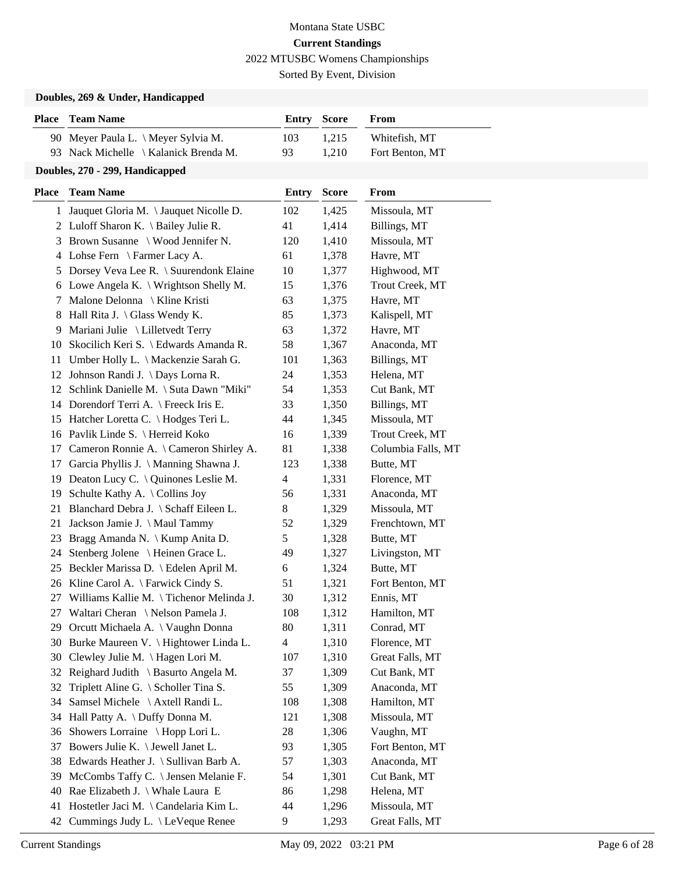Sorted By Event, Division

### **Doubles, 269 & Under, Handicapped**

| <b>Place</b> | <b>Team Name</b>                          | <b>Entry</b>   | <b>Score</b> | From               |
|--------------|-------------------------------------------|----------------|--------------|--------------------|
|              | 90 Meyer Paula L. \ Meyer Sylvia M.       | 103            | 1,215        | Whitefish, MT      |
|              | 93 Nack Michelle \ Kalanick Brenda M.     | 93             | 1,210        | Fort Benton, MT    |
|              | Doubles, 270 - 299, Handicapped           |                |              |                    |
| <b>Place</b> | <b>Team Name</b>                          | <b>Entry</b>   | <b>Score</b> | From               |
|              | 1 Jauquet Gloria M. \Jauquet Nicolle D.   | 102            | 1,425        | Missoula, MT       |
|              | 2 Luloff Sharon K. \ Bailey Julie R.      | 41             | 1,414        | Billings, MT       |
| 3            | Brown Susanne \ Wood Jennifer N.          | 120            | 1,410        | Missoula, MT       |
| 4            | Lohse Fern \ Farmer Lacy A.               | 61             | 1,378        | Havre, MT          |
| 5            | Dorsey Veva Lee R. \ Suurendonk Elaine    | 10             | 1,377        | Highwood, MT       |
|              | 6 Lowe Angela K. \ Wrightson Shelly M.    | 15             | 1,376        | Trout Creek, MT    |
| 7            | Malone Delonna \ Kline Kristi             | 63             | 1,375        | Havre, MT          |
| 8            | Hall Rita J. $\langle$ Glass Wendy K.     | 85             | 1,373        | Kalispell, MT      |
| 9            | Mariani Julie \ Lilletvedt Terry          | 63             | 1,372        | Havre, MT          |
| 10           | Skocilich Keri S. \ Edwards Amanda R.     | 58             | 1,367        | Anaconda, MT       |
| 11           | Umber Holly L. \ Mackenzie Sarah G.       | 101            | 1,363        | Billings, MT       |
| 12           | Johnson Randi J. \ Days Lorna R.          | 24             | 1,353        | Helena, MT         |
|              | 12 Schlink Danielle M. \ Suta Dawn "Miki" | 54             | 1,353        | Cut Bank, MT       |
| 14           | Dorendorf Terri A. \ Freeck Iris E.       | 33             | 1,350        | Billings, MT       |
| 15           | Hatcher Loretta C. \ Hodges Teri L.       | 44             | 1,345        | Missoula, MT       |
| 16           | Pavlik Linde S. \ Herreid Koko            | 16             | 1,339        | Trout Creek, MT    |
| 17           | Cameron Ronnie A. \ Cameron Shirley A.    | 81             | 1,338        | Columbia Falls, MT |
| 17           | Garcia Phyllis J. \ Manning Shawna J.     | 123            | 1,338        | Butte, MT          |
| 19           | Deaton Lucy C. \ Quinones Leslie M.       | $\overline{4}$ | 1,331        | Florence, MT       |
| 19           | Schulte Kathy A. \Collins Joy             | 56             | 1,331        | Anaconda, MT       |
| 21           | Blanchard Debra J. \ Schaff Eileen L.     | 8              | 1,329        | Missoula, MT       |
| 21           | Jackson Jamie J. \ Maul Tammy             | 52             | 1,329        | Frenchtown, MT     |
| 23           | Bragg Amanda N. \ Kump Anita D.           | 5              | 1,328        | Butte, MT          |
| 24           | Stenberg Jolene \ Heinen Grace L.         | 49             | 1,327        | Livingston, MT     |
| 25           | Beckler Marissa D. \ Edelen April M.      | 6              | 1,324        | Butte, MT          |
| 26           | Kline Carol A. \ Farwick Cindy S.         | 51             | 1,321        | Fort Benton, MT    |
| 27           | Williams Kallie M. \Tichenor Melinda J.   | 30             | 1,312        | Ennis, MT          |
| 27           | Waltari Cheran \ Nelson Pamela J.         | 108            | 1,312        | Hamilton, MT       |
| 29           | Orcutt Michaela A. \ Vaughn Donna         | 80             | 1,311        | Conrad, MT         |
| 30           | Burke Maureen V. \ Hightower Linda L.     | $\overline{4}$ | 1,310        | Florence, MT       |
| 30           | Clewley Julie M. \Hagen Lori M.           | 107            | 1,310        | Great Falls, MT    |
| 32           | Reighard Judith \ Basurto Angela M.       | 37             | 1,309        | Cut Bank, MT       |
| 32           | Triplett Aline G. \ Scholler Tina S.      | 55             | 1,309        | Anaconda, MT       |
| 34           | Samsel Michele \ Axtell Randi L.          | 108            | 1,308        | Hamilton, MT       |
| 34           | Hall Patty A. \ Duffy Donna M.            | 121            | 1,308        | Missoula, MT       |
| 36           | Showers Lorraine \ Hopp Lori L.           | 28             | 1,306        | Vaughn, MT         |
| 37           | Bowers Julie K. \ Jewell Janet L.         | 93             | 1,305        | Fort Benton, MT    |
| 38           | Edwards Heather J. \ Sullivan Barb A.     | 57             | 1,303        | Anaconda, MT       |
| 39           | McCombs Taffy C. \ Jensen Melanie F.      | 54             | 1,301        | Cut Bank, MT       |
| 40           | Rae Elizabeth J. \ Whale Laura E          | 86             | 1,298        | Helena, MT         |
| 41           | Hostetler Jaci M. \Candelaria Kim L.      | 44             | 1,296        | Missoula, MT       |
| 42           | Cummings Judy L. \ LeVeque Renee          | 9              | 1,293        | Great Falls, MT    |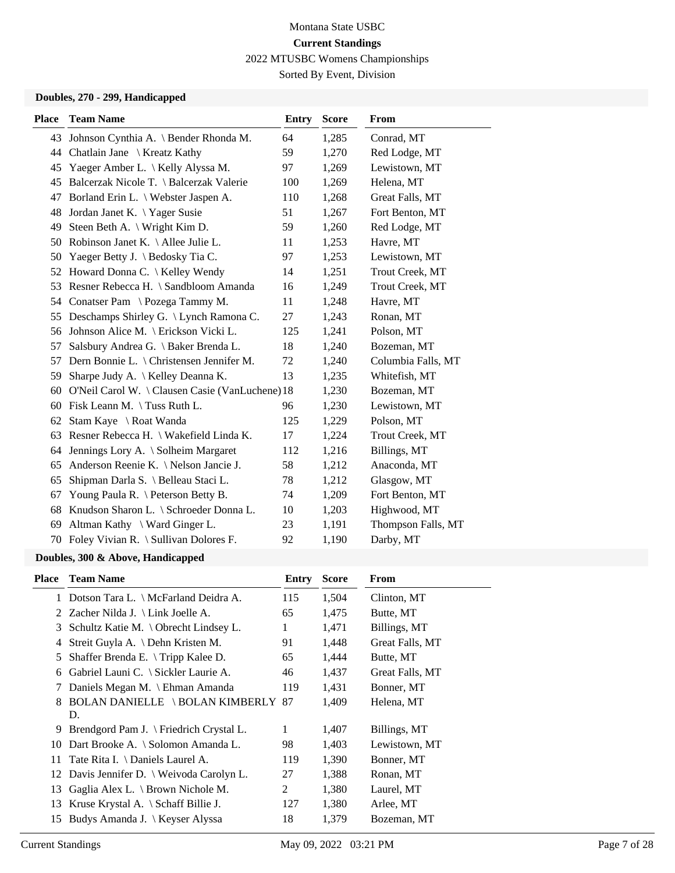Sorted By Event, Division

### **Doubles, 270 - 299, Handicapped**

| <b>Place</b> | <b>Team Name</b>                                | <b>Entry</b> | <b>Score</b> | From               |
|--------------|-------------------------------------------------|--------------|--------------|--------------------|
| 43           | Johnson Cynthia A. \ Bender Rhonda M.           | 64           | 1,285        | Conrad, MT         |
| 44           | Chatlain Jane \ Kreatz Kathy                    | 59           | 1,270        | Red Lodge, MT      |
| 45           | Yaeger Amber L. \ Kelly Alyssa M.               | 97           | 1,269        | Lewistown, MT      |
| 45           | Balcerzak Nicole T. \ Balcerzak Valerie         | 100          | 1,269        | Helena, MT         |
| 47           | Borland Erin L. \ Webster Jaspen A.             | 110          | 1,268        | Great Falls, MT    |
| 48           | Jordan Janet K. \ Yager Susie                   | 51           | 1,267        | Fort Benton, MT    |
| 49           | Steen Beth A. \ Wright Kim D.                   | 59           | 1,260        | Red Lodge, MT      |
| 50           | Robinson Janet K. \ Allee Julie L.              | 11           | 1,253        | Havre, MT          |
| 50           | Yaeger Betty J. \ Bedosky Tia C.                | 97           | 1,253        | Lewistown, MT      |
| 52           | Howard Donna C. \ Kelley Wendy                  | 14           | 1,251        | Trout Creek, MT    |
| 53           | Resner Rebecca H. \ Sandbloom Amanda            | 16           | 1,249        | Trout Creek, MT    |
| 54           | Conatser Pam \ Pozega Tammy M.                  | 11           | 1,248        | Havre, MT          |
| 55           | Deschamps Shirley G. \ Lynch Ramona C.          | 27           | 1,243        | Ronan, MT          |
| 56           | Johnson Alice M. \ Erickson Vicki L.            | 125          | 1,241        | Polson, MT         |
| 57           | Salsbury Andrea G. \ Baker Brenda L.            | 18           | 1,240        | Bozeman, MT        |
| 57           | Dern Bonnie L. \ Christensen Jennifer M.        | 72           | 1,240        | Columbia Falls, MT |
| 59           | Sharpe Judy A. \ Kelley Deanna K.               | 13           | 1,235        | Whitefish, MT      |
| 60           | O'Neil Carol W. \ Clausen Casie (VanLuchene) 18 |              | 1,230        | Bozeman, MT        |
| 60           | Fisk Leann M. \Tuss Ruth L.                     | 96           | 1,230        | Lewistown, MT      |
| 62           | Stam Kaye \ Roat Wanda                          | 125          | 1,229        | Polson, MT         |
| 63           | Resner Rebecca H. \ Wakefield Linda K.          | 17           | 1,224        | Trout Creek, MT    |
| 64           | Jennings Lory A. \ Solheim Margaret             | 112          | 1,216        | Billings, MT       |
| 65           | Anderson Reenie K. \ Nelson Jancie J.           | 58           | 1,212        | Anaconda, MT       |
| 65           | Shipman Darla S. \ Belleau Staci L.             | 78           | 1,212        | Glasgow, MT        |
| 67           | Young Paula R. \ Peterson Betty B.              | 74           | 1,209        | Fort Benton, MT    |
| 68           | Knudson Sharon L. \ Schroeder Donna L.          | 10           | 1,203        | Highwood, MT       |
| 69           | Altman Kathy \ Ward Ginger L.                   | 23           | 1,191        | Thompson Falls, MT |
|              | 70 Foley Vivian R. \ Sullivan Dolores F.        | 92           | 1,190        | Darby, MT          |

### **Doubles, 300 & Above, Handicapped**

| Place | <b>Team Name</b>                                 | Entry | <b>Score</b> | From            |
|-------|--------------------------------------------------|-------|--------------|-----------------|
|       | 1 Dotson Tara L. \ McFarland Deidra A.           | 115   | 1,504        | Clinton, MT     |
|       | 2 Zacher Nilda J. \ Link Joelle A.               | 65    | 1,475        | Butte, MT       |
| 3     | Schultz Katie M. $\backslash$ Obrecht Lindsey L. | 1     | 1,471        | Billings, MT    |
| 4     | Streit Guyla A. $\Delta$ Dehn Kristen M.         | 91    | 1,448        | Great Falls, MT |
| 5     | Shaffer Brenda E. $\Im$ Tripp Kalee D.           | 65    | 1,444        | Butte, MT       |
| 6     | Gabriel Launi C. \ Sickler Laurie A.             | 46    | 1,437        | Great Falls, MT |
|       | Daniels Megan M. \ Ehman Amanda                  | 119   | 1,431        | Bonner, MT      |
| 8     | <b>BOLAN DANIELLE \BOLAN KIMBERLY 87</b>         |       | 1,409        | Helena, MT      |
|       | D.                                               |       |              |                 |
| 9     | Brendgord Pam J. \ Friedrich Crystal L.          | 1     | 1,407        | Billings, MT    |
| 10    | Dart Brooke A. \ Solomon Amanda L.               | 98    | 1,403        | Lewistown, MT   |
| 11    | Tate Rita I. \ Daniels Laurel A.                 | 119   | 1,390        | Bonner, MT      |
| 12    | Davis Jennifer D. \ Weivoda Carolyn L.           | 27    | 1,388        | Ronan, MT       |
| 13    | Gaglia Alex L. $\setminus$ Brown Nichole M.      | 2     | 1,380        | Laurel, MT      |
| 13    | Kruse Krystal A. $\Set$ Schaff Billie J.         | 127   | 1,380        | Arlee, MT       |
| 15    | Budys Amanda J. \ Keyser Alyssa                  | 18    | 1,379        | Bozeman, MT     |
|       |                                                  |       |              |                 |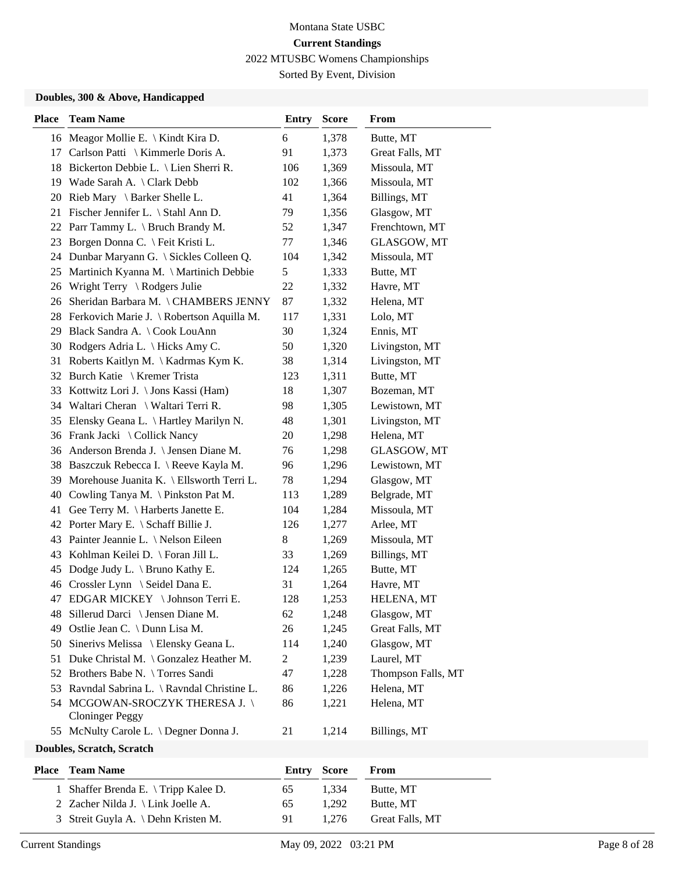Sorted By Event, Division

#### **Doubles, 300 & Above, Handicapped**

| <b>Place</b> | <b>Team Name</b>                                        | <b>Entry</b>   | <b>Score</b> | From               |
|--------------|---------------------------------------------------------|----------------|--------------|--------------------|
|              | 16 Meagor Mollie E. \ Kindt Kira D.                     | 6              | 1,378        | Butte, MT          |
| 17           | Carlson Patti \ Kimmerle Doris A.                       | 91             | 1,373        | Great Falls, MT    |
| 18           | Bickerton Debbie L. \ Lien Sherri R.                    | 106            | 1,369        | Missoula, MT       |
| 19           | Wade Sarah A. \ Clark Debb                              | 102            | 1,366        | Missoula, MT       |
| 20           | Rieb Mary \ Barker Shelle L.                            | 41             | 1,364        | Billings, MT       |
| 21           | Fischer Jennifer L. \ Stahl Ann D.                      | 79             | 1,356        | Glasgow, MT        |
|              | 22 Parr Tammy L. \ Bruch Brandy M.                      | 52             | 1,347        | Frenchtown, MT     |
| 23           | Borgen Donna C. \ Feit Kristi L.                        | 77             | 1,346        | GLASGOW, MT        |
| 24           | Dunbar Maryann G. \ Sickles Colleen Q.                  | 104            | 1,342        | Missoula, MT       |
| 25           | Martinich Kyanna M. \ Martinich Debbie                  | 5              | 1,333        | Butte, MT          |
| 26           | Wright Terry \ Rodgers Julie                            | 22             | 1,332        | Havre, MT          |
| 26           | Sheridan Barbara M. \CHAMBERS JENNY                     | 87             | 1,332        | Helena, MT         |
| 28           | Ferkovich Marie J. \ Robertson Aquilla M.               | 117            | 1,331        | Lolo, MT           |
| 29           | Black Sandra A. \ Cook LouAnn                           | 30             | 1,324        | Ennis, MT          |
| 30           | Rodgers Adria L. \ Hicks Amy C.                         | 50             | 1,320        | Livingston, MT     |
| 31           | Roberts Kaitlyn M. \ Kadrmas Kym K.                     | 38             | 1,314        | Livingston, MT     |
|              | 32 Burch Katie \ Kremer Trista                          | 123            | 1,311        | Butte, MT          |
| 33           | Kottwitz Lori J. \ Jons Kassi (Ham)                     | 18             | 1,307        | Bozeman, MT        |
|              | 34 Waltari Cheran \ Waltari Terri R.                    | 98             | 1,305        | Lewistown, MT      |
| 35           | Elensky Geana L. \ Hartley Marilyn N.                   | 48             | 1,301        | Livingston, MT     |
| 36           | Frank Jacki \ Collick Nancy                             | 20             | 1,298        | Helena, MT         |
| 36           | Anderson Brenda J. \ Jensen Diane M.                    | 76             | 1,298        | GLASGOW, MT        |
| 38           | Baszczuk Rebecca I. \ Reeve Kayla M.                    | 96             | 1,296        | Lewistown, MT      |
| 39           | Morehouse Juanita K. \ Ellsworth Terri L.               | 78             | 1,294        | Glasgow, MT        |
| 40           | Cowling Tanya M. \ Pinkston Pat M.                      | 113            | 1,289        | Belgrade, MT       |
| 41           | Gee Terry M. \ Harberts Janette E.                      | 104            | 1,284        | Missoula, MT       |
| 42           | Porter Mary E. \ Schaff Billie J.                       | 126            | 1,277        | Arlee, MT          |
| 43           | Painter Jeannie L. \ Nelson Eileen                      | 8              | 1,269        | Missoula, MT       |
| 43           | Kohlman Keilei D. \ Foran Jill L.                       | 33             | 1,269        | Billings, MT       |
| 45           | Dodge Judy L. \ Bruno Kathy E.                          | 124            | 1,265        | Butte, MT          |
| 46           | Crossler Lynn \ Seidel Dana E.                          | 31             | 1,264        | Havre, MT          |
| 47           | EDGAR MICKEY \ Johnson Terri E.                         | 128            | 1,253        | HELENA, MT         |
|              | 48 Sillerud Darci \ Jensen Diane M.                     | 62             | 1,248        | Glasgow, MT        |
| 49           | Ostlie Jean C. \ Dunn Lisa M.                           | 26             | 1,245        | Great Falls, MT    |
| 50           | Sinerivs Melissa \ Elensky Geana L.                     | 114            | 1,240        | Glasgow, MT        |
| 51           | Duke Christal M. \ Gonzalez Heather M.                  | $\overline{c}$ | 1,239        | Laurel, MT         |
| 52           | Brothers Babe N. \Torres Sandi                          | 47             | 1,228        | Thompson Falls, MT |
| 53           | Ravndal Sabrina L. \ Ravndal Christine L.               | 86             | 1,226        | Helena, MT         |
|              | 54 MCGOWAN-SROCZYK THERESA J.<br><b>Cloninger Peggy</b> | 86             | 1,221        | Helena, MT         |
|              | 55 McNulty Carole L. \ Degner Donna J.                  | 21             | 1,214        | Billings, MT       |
|              | Doubles, Scratch, Scratch                               |                |              |                    |
|              |                                                         |                |              |                    |

| <b>Place</b> Team Name                   |      | <b>Entry Score</b> | From            |
|------------------------------------------|------|--------------------|-----------------|
| 1 Shaffer Brenda E. $\Im$ Tripp Kalee D. | 65   | 1.334              | Butte, MT       |
| 2 Zacher Nilda J. \ Link Joelle A.       | 65   | 1.292              | Butte, MT       |
| 3 Streit Guyla A. \ Dehn Kristen M.      | -91- | 1.276              | Great Falls, MT |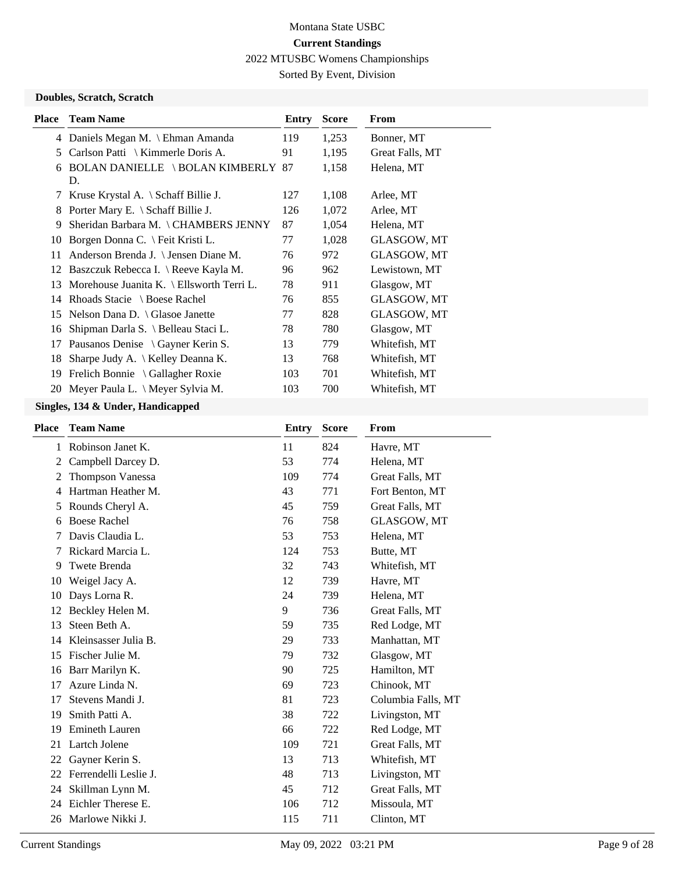Sorted By Event, Division

#### **Doubles, Scratch, Scratch**

| <b>Place</b> | <b>Team Name</b>                               | Entry | <b>Score</b> | From               |
|--------------|------------------------------------------------|-------|--------------|--------------------|
|              | 4 Daniels Megan M. \ Ehman Amanda              | 119   | 1,253        | Bonner, MT         |
| 5            | Carlson Patti $\setminus$ Kimmerle Doris A.    | 91    | 1,195        | Great Falls, MT    |
| 6            | <b>BOLAN DANIELLE \BOLAN KIMBERLY 87</b><br>D. |       | 1,158        | Helena, MT         |
| 7            | Kruse Krystal A. $\Set$ Schaff Billie J.       | 127   | 1,108        | Arlee, MT          |
| 8            | Porter Mary E. $\Set$ Schaff Billie J.         | 126   | 1,072        | Arlee, MT          |
| 9            | Sheridan Barbara M. \ CHAMBERS JENNY           | 87    | 1,054        | Helena, MT         |
| 10           | Borgen Donna C. \ Feit Kristi L.               | 77    | 1,028        | <b>GLASGOW, MT</b> |
| 11           | Anderson Brenda J. \ Jensen Diane M.           | 76    | 972          | GLASGOW, MT        |
| 12           | Baszczuk Rebecca I. \ Reeve Kayla M.           | 96    | 962          | Lewistown, MT      |
| 13           | Morehouse Juanita K. \ Ellsworth Terri L.      | 78    | 911          | Glasgow, MT        |
| 14           | Rhoads Stacie $\setminus$ Boese Rachel         | 76    | 855          | GLASGOW, MT        |
| 15           | Nelson Dana D. $\langle$ Glasoe Janette        | 77    | 828          | GLASGOW, MT        |
| 16           | Shipman Darla S. \ Belleau Staci L.            | 78    | 780          | Glasgow, MT        |
| 17           | Pausanos Denise $\setminus$ Gayner Kerin S.    | 13    | 779          | Whitefish, MT      |
| 18           | Sharpe Judy A.   Kelley Deanna K.              | 13    | 768          | Whitefish, MT      |
| 19           | Frelich Bonnie \ Gallagher Roxie               | 103   | 701          | Whitefish, MT      |
| 20           | Meyer Paula L. $\setminus$ Meyer Sylvia M.     | 103   | 700          | Whitefish, MT      |
|              |                                                |       |              |                    |

| <b>Place</b> | <b>Team Name</b>        | Entry | <b>Score</b> | From               |
|--------------|-------------------------|-------|--------------|--------------------|
| 1            | Robinson Janet K.       | 11    | 824          | Havre, MT          |
| 2            | Campbell Darcey D.      | 53    | 774          | Helena, MT         |
| 2            | <b>Thompson Vanessa</b> | 109   | 774          | Great Falls, MT    |
| 4            | Hartman Heather M.      | 43    | 771          | Fort Benton, MT    |
| 5            | Rounds Cheryl A.        | 45    | 759          | Great Falls, MT    |
| 6            | <b>Boese Rachel</b>     | 76    | 758          | GLASGOW, MT        |
| 7            | Davis Claudia L.        | 53    | 753          | Helena, MT         |
| 7            | Rickard Marcia L.       | 124   | 753          | Butte, MT          |
| 9            | Twete Brenda            | 32    | 743          | Whitefish, MT      |
| 10           | Weigel Jacy A.          | 12    | 739          | Havre, MT          |
| 10           | Days Lorna R.           | 24    | 739          | Helena, MT         |
| 12           | Beckley Helen M.        | 9     | 736          | Great Falls, MT    |
| 13           | Steen Beth A.           | 59    | 735          | Red Lodge, MT      |
| 14           | Kleinsasser Julia B.    | 29    | 733          | Manhattan, MT      |
| 15           | Fischer Julie M.        | 79    | 732          | Glasgow, MT        |
| 16           | Barr Marilyn K.         | 90    | 725          | Hamilton, MT       |
| 17           | Azure Linda N.          | 69    | 723          | Chinook, MT        |
| 17           | Stevens Mandi J.        | 81    | 723          | Columbia Falls, MT |
| 19           | Smith Patti A.          | 38    | 722          | Livingston, MT     |
| 19           | <b>Emineth Lauren</b>   | 66    | 722          | Red Lodge, MT      |
| 21           | Lartch Jolene           | 109   | 721          | Great Falls, MT    |
| 22           | Gayner Kerin S.         | 13    | 713          | Whitefish, MT      |
| 22           | Ferrendelli Leslie J.   | 48    | 713          | Livingston, MT     |
| 24           | Skillman Lynn M.        | 45    | 712          | Great Falls, MT    |
| 24           | Eichler Therese E.      | 106   | 712          | Missoula, MT       |
| 26           | Marlowe Nikki J.        | 115   | 711          | Clinton, MT        |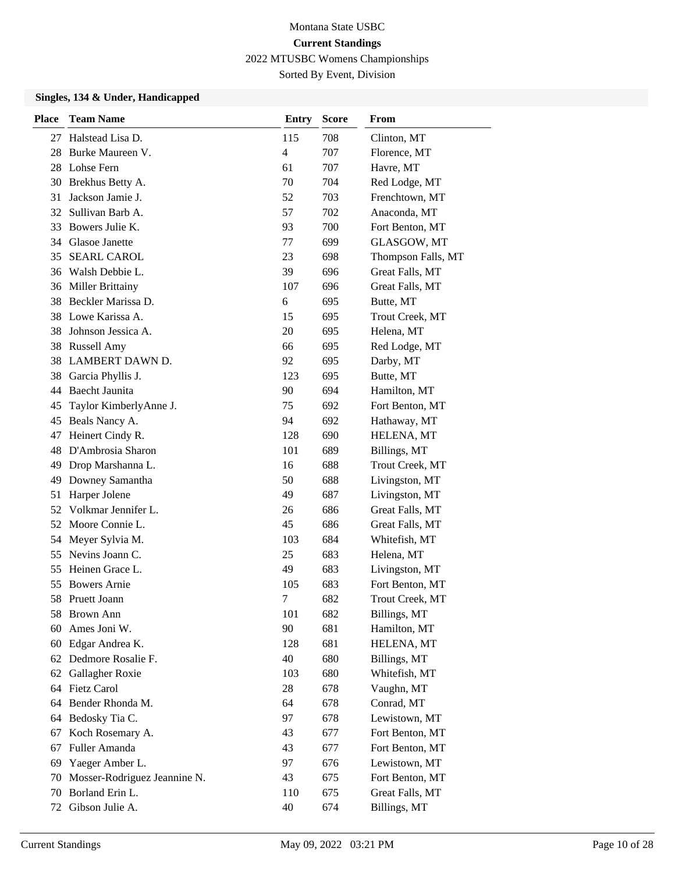Sorted By Event, Division

| <b>Place</b> | <b>Team Name</b>             | <b>Entry</b>   | <b>Score</b> | From               |
|--------------|------------------------------|----------------|--------------|--------------------|
| 27           | Halstead Lisa D.             | 115            | 708          | Clinton, MT        |
| 28           | Burke Maureen V.             | $\overline{4}$ | 707          | Florence, MT       |
| 28           | Lohse Fern                   | 61             | 707          | Havre, MT          |
| 30           | Brekhus Betty A.             | 70             | 704          | Red Lodge, MT      |
| 31           | Jackson Jamie J.             | 52             | 703          | Frenchtown, MT     |
| 32           | Sullivan Barb A.             | 57             | 702          | Anaconda, MT       |
| 33           | Bowers Julie K.              | 93             | 700          | Fort Benton, MT    |
|              | 34 Glasoe Janette            | 77             | 699          | GLASGOW, MT        |
| 35           | <b>SEARL CAROL</b>           | 23             | 698          | Thompson Falls, MT |
| 36           | Walsh Debbie L.              | 39             | 696          | Great Falls, MT    |
| 36           | <b>Miller Brittainy</b>      | 107            | 696          | Great Falls, MT    |
| 38           | Beckler Marissa D.           | 6              | 695          | Butte, MT          |
| 38           | Lowe Karissa A.              | 15             | 695          | Trout Creek, MT    |
| 38           | Johnson Jessica A.           | 20             | 695          | Helena, MT         |
| 38           | <b>Russell Amy</b>           | 66             | 695          | Red Lodge, MT      |
| 38           | <b>LAMBERT DAWN D.</b>       | 92             | 695          | Darby, MT          |
| 38           | Garcia Phyllis J.            | 123            | 695          | Butte, MT          |
| 44           | Baecht Jaunita               | 90             | 694          | Hamilton, MT       |
| 45           | Taylor KimberlyAnne J.       | 75             | 692          | Fort Benton, MT    |
| 45           | Beals Nancy A.               | 94             | 692          | Hathaway, MT       |
| 47           | Heinert Cindy R.             | 128            | 690          | HELENA, MT         |
| 48           | D'Ambrosia Sharon            | 101            | 689          | Billings, MT       |
| 49           | Drop Marshanna L.            | 16             | 688          | Trout Creek, MT    |
| 49           | Downey Samantha              | 50             | 688          | Livingston, MT     |
| 51           | Harper Jolene                | 49             | 687          | Livingston, MT     |
| 52           | Volkmar Jennifer L.          | 26             | 686          | Great Falls, MT    |
| 52           | Moore Connie L.              | 45             | 686          | Great Falls, MT    |
| 54           | Meyer Sylvia M.              | 103            | 684          | Whitefish, MT      |
| 55           | Nevins Joann C.              | 25             | 683          | Helena, MT         |
| 55           | Heinen Grace L.              | 49             | 683          | Livingston, MT     |
| 55           | <b>Bowers Arnie</b>          | 105            | 683          | Fort Benton, MT    |
| 58           | Pruett Joann                 | 7              | 682          | Trout Creek, MT    |
| 58           | <b>Brown Ann</b>             | 101            | 682          | Billings, MT       |
| 60           | Ames Joni W.                 | 90             | 681          | Hamilton, MT       |
| 60           | Edgar Andrea K.              | 128            | 681          | HELENA, MT         |
|              | 62 Dedmore Rosalie F.        | 40             | 680          | Billings, MT       |
| 62           | Gallagher Roxie              | 103            | 680          | Whitefish, MT      |
|              | 64 Fietz Carol               | 28             | 678          | Vaughn, MT         |
| 64           | Bender Rhonda M.             | 64             | 678          | Conrad, MT         |
| 64           | Bedosky Tia C.               | 97             | 678          | Lewistown, MT      |
| 67           | Koch Rosemary A.             | 43             | 677          | Fort Benton, MT    |
| 67           | Fuller Amanda                | 43             | 677          | Fort Benton, MT    |
| 69           | Yaeger Amber L.              | 97             | 676          | Lewistown, MT      |
| 70           | Mosser-Rodriguez Jeannine N. | 43             | 675          | Fort Benton, MT    |
| 70           | Borland Erin L.              | 110            | 675          | Great Falls, MT    |
| 72           | Gibson Julie A.              | 40             | 674          | Billings, MT       |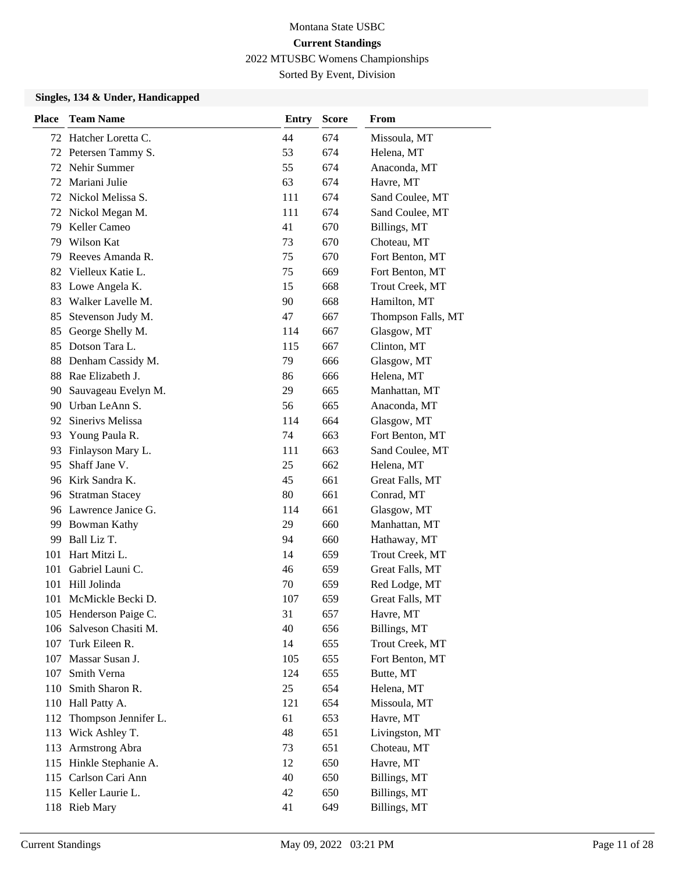Sorted By Event, Division

| <b>Place</b> | <b>Team Name</b>       | <b>Entry</b> | <b>Score</b> | From               |
|--------------|------------------------|--------------|--------------|--------------------|
| 72           | Hatcher Loretta C.     | 44           | 674          | Missoula, MT       |
| 72           | Petersen Tammy S.      | 53           | 674          | Helena, MT         |
| 72           | Nehir Summer           | 55           | 674          | Anaconda, MT       |
| 72           | Mariani Julie          | 63           | 674          | Havre, MT          |
| 72           | Nickol Melissa S.      | 111          | 674          | Sand Coulee, MT    |
| 72           | Nickol Megan M.        | 111          | 674          | Sand Coulee, MT    |
| 79           | Keller Cameo           | 41           | 670          | Billings, MT       |
| 79           | Wilson Kat             | 73           | 670          | Choteau, MT        |
| 79           | Reeves Amanda R.       | 75           | 670          | Fort Benton, MT    |
| 82           | Vielleux Katie L.      | 75           | 669          | Fort Benton, MT    |
| 83           | Lowe Angela K.         | 15           | 668          | Trout Creek, MT    |
| 83           | Walker Lavelle M.      | 90           | 668          | Hamilton, MT       |
| 85           | Stevenson Judy M.      | 47           | 667          | Thompson Falls, MT |
| 85           | George Shelly M.       | 114          | 667          | Glasgow, MT        |
| 85           | Dotson Tara L.         | 115          | 667          | Clinton, MT        |
| 88           | Denham Cassidy M.      | 79           | 666          | Glasgow, MT        |
| 88           | Rae Elizabeth J.       | 86           | 666          | Helena, MT         |
| 90           | Sauvageau Evelyn M.    | 29           | 665          | Manhattan, MT      |
| 90           | Urban LeAnn S.         | 56           | 665          | Anaconda, MT       |
|              | 92 Sineriys Melissa    | 114          | 664          | Glasgow, MT        |
| 93           | Young Paula R.         | 74           | 663          | Fort Benton, MT    |
| 93           | Finlayson Mary L.      | 111          | 663          | Sand Coulee, MT    |
| 95           | Shaff Jane V.          | 25           | 662          | Helena, MT         |
|              | 96 Kirk Sandra K.      | 45           | 661          | Great Falls, MT    |
| 96           | <b>Stratman Stacey</b> | 80           | 661          | Conrad, MT         |
|              | 96 Lawrence Janice G.  | 114          | 661          | Glasgow, MT        |
| 99           | <b>Bowman Kathy</b>    | 29           | 660          | Manhattan, MT      |
| 99           | Ball Liz T.            | 94           | 660          | Hathaway, MT       |
| 101          | Hart Mitzi L.          | 14           | 659          | Trout Creek, MT    |
| 101          | Gabriel Launi C.       | 46           | 659          | Great Falls, MT    |
| 101          | Hill Jolinda           | 70           | 659          | Red Lodge, MT      |
| 101          | McMickle Becki D.      | 107          | 659          | Great Falls, MT    |
|              | 105 Henderson Paige C. | 31           | 657          | Havre, MT          |
| 106          | Salveson Chasiti M.    | 40           | 656          | Billings, MT       |
| 107          | Turk Eileen R.         | 14           | 655          | Trout Creek, MT    |
|              | 107 Massar Susan J.    | 105          | 655          | Fort Benton, MT    |
| 107          | Smith Verna            | 124          | 655          | Butte, MT          |
| 110          | Smith Sharon R.        | 25           | 654          | Helena, MT         |
| 110          | Hall Patty A.          | 121          | 654          | Missoula, MT       |
| 112          | Thompson Jennifer L.   | 61           | 653          | Havre, MT          |
| 113          | Wick Ashley T.         | 48           | 651          | Livingston, MT     |
| 113          | Armstrong Abra         | 73           | 651          | Choteau, MT        |
| 115          | Hinkle Stephanie A.    | 12           | 650          | Havre, MT          |
|              | 115 Carlson Cari Ann   | 40           | 650          | Billings, MT       |
|              | 115 Keller Laurie L.   | 42           | 650          | Billings, MT       |
|              | 118 Rieb Mary          | 41           | 649          | Billings, MT       |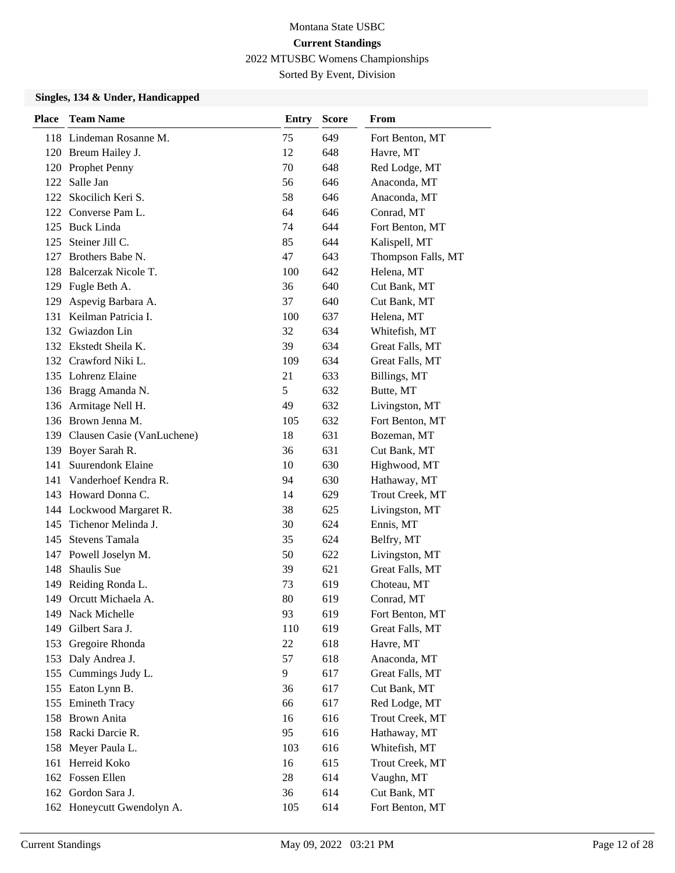Sorted By Event, Division

| Place | <b>Team Name</b>               | <b>Entry</b> | <b>Score</b> | From               |
|-------|--------------------------------|--------------|--------------|--------------------|
|       | 118 Lindeman Rosanne M.        | 75           | 649          | Fort Benton, MT    |
|       | 120 Breum Hailey J.            | 12           | 648          | Havre, MT          |
|       | 120 Prophet Penny              | 70           | 648          | Red Lodge, MT      |
| 122   | Salle Jan                      | 56           | 646          | Anaconda, MT       |
| 122   | Skocilich Keri S.              | 58           | 646          | Anaconda, MT       |
|       | 122 Converse Pam L.            | 64           | 646          | Conrad, MT         |
|       | 125 Buck Linda                 | 74           | 644          | Fort Benton, MT    |
| 125   | Steiner Jill C.                | 85           | 644          | Kalispell, MT      |
| 127   | Brothers Babe N.               | 47           | 643          | Thompson Falls, MT |
| 128   | Balcerzak Nicole T.            | 100          | 642          | Helena, MT         |
| 129   | Fugle Beth A.                  | 36           | 640          | Cut Bank, MT       |
| 129   | Aspevig Barbara A.             | 37           | 640          | Cut Bank, MT       |
| 131   | Keilman Patricia I.            | 100          | 637          | Helena, MT         |
| 132   | Gwiazdon Lin                   | 32           | 634          | Whitefish, MT      |
|       | 132 Ekstedt Sheila K.          | 39           | 634          | Great Falls, MT    |
|       | 132 Crawford Niki L.           | 109          | 634          | Great Falls, MT    |
|       | 135 Lohrenz Elaine             | 21           | 633          | Billings, MT       |
|       | 136 Bragg Amanda N.            | 5            | 632          | Butte, MT          |
|       | 136 Armitage Nell H.           | 49           | 632          | Livingston, MT     |
|       | 136 Brown Jenna M.             | 105          | 632          | Fort Benton, MT    |
|       | 139 Clausen Casie (VanLuchene) | 18           | 631          | Bozeman, MT        |
|       | 139 Boyer Sarah R.             | 36           | 631          | Cut Bank, MT       |
| 141   | <b>Suurendonk Elaine</b>       | 10           | 630          | Highwood, MT       |
|       | 141 Vanderhoef Kendra R.       | 94           | 630          | Hathaway, MT       |
|       | 143 Howard Donna C.            | 14           | 629          | Trout Creek, MT    |
|       | 144 Lockwood Margaret R.       | 38           | 625          | Livingston, MT     |
| 145   | Tichenor Melinda J.            | 30           | 624          | Ennis, MT          |
| 145   | <b>Stevens Tamala</b>          | 35           | 624          | Belfry, MT         |
|       | 147 Powell Joselyn M.          | 50           | 622          | Livingston, MT     |
| 148   | Shaulis Sue                    | 39           | 621          | Great Falls, MT    |
| 149   | Reiding Ronda L.               | 73           | 619          | Choteau, MT        |
| 149   | Orcutt Michaela A.             | 80           | 619          | Conrad, MT         |
|       | 149 Nack Michelle              | 93           | 619          | Fort Benton, MT    |
| 149   | Gilbert Sara J.                | 110          | 619          | Great Falls, MT    |
| 153   | Gregoire Rhonda                | 22           | 618          | Havre, MT          |
| 153   | Daly Andrea J.                 | 57           | 618          | Anaconda, MT       |
| 155   | Cummings Judy L.               | 9            | 617          | Great Falls, MT    |
| 155   | Eaton Lynn B.                  | 36           | 617          | Cut Bank, MT       |
| 155   | <b>Emineth Tracy</b>           | 66           | 617          | Red Lodge, MT      |
| 158   | <b>Brown Anita</b>             | 16           | 616          | Trout Creek, MT    |
|       | 158 Racki Darcie R.            | 95           | 616          | Hathaway, MT       |
| 158   | Meyer Paula L.                 | 103          | 616          | Whitefish, MT      |
| 161   | Herreid Koko                   | 16           | 615          | Trout Creek, MT    |
|       | 162 Fossen Ellen               | 28           | 614          | Vaughn, MT         |
|       | 162 Gordon Sara J.             | 36           | 614          | Cut Bank, MT       |
|       | 162 Honeycutt Gwendolyn A.     | 105          | 614          | Fort Benton, MT    |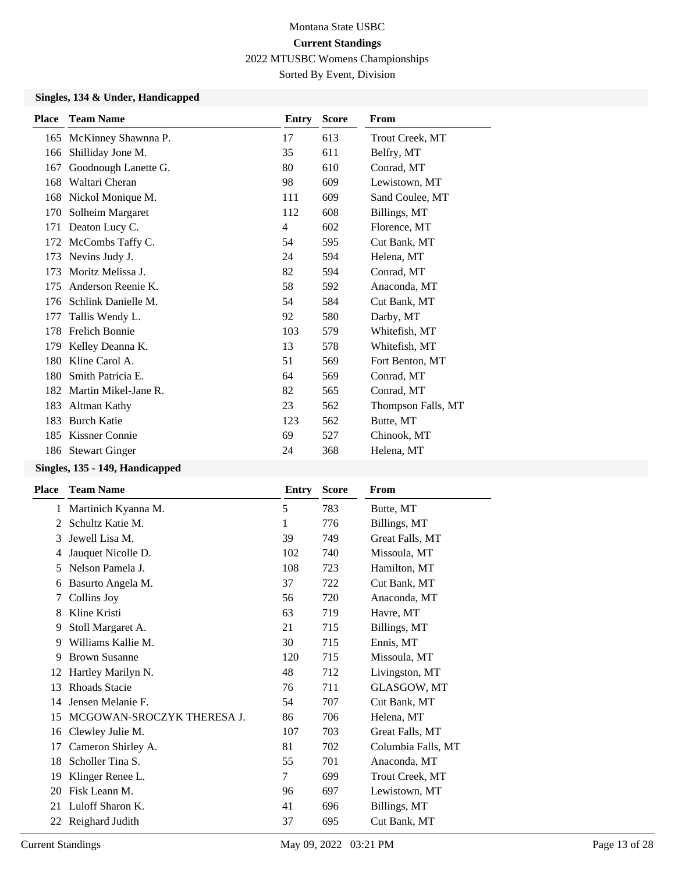Sorted By Event, Division

### **Singles, 134 & Under, Handicapped**

| <b>Place</b> | <b>Team Name</b>        | Entry          | <b>Score</b> | From               |
|--------------|-------------------------|----------------|--------------|--------------------|
|              | 165 McKinney Shawnna P. | 17             | 613          | Trout Creek, MT    |
| 166          | Shilliday Jone M.       | 35             | 611          | Belfry, MT         |
| 167          | Goodnough Lanette G.    | 80             | 610          | Conrad, MT         |
| 168          | Waltari Cheran          | 98             | 609          | Lewistown, MT      |
| 168          | Nickol Monique M.       | 111            | 609          | Sand Coulee, MT    |
| 170          | Solheim Margaret        | 112            | 608          | Billings, MT       |
| 171          | Deaton Lucy C.          | $\overline{4}$ | 602          | Florence, MT       |
| 172          | McCombs Taffy C.        | 54             | 595          | Cut Bank, MT       |
| 173          | Nevins Judy J.          | 24             | 594          | Helena, MT         |
| 173          | Moritz Melissa J.       | 82             | 594          | Conrad, MT         |
| 175          | Anderson Reenie K.      | 58             | 592          | Anaconda, MT       |
| 176          | Schlink Danielle M.     | 54             | 584          | Cut Bank, MT       |
| 177          | Tallis Wendy L.         | 92             | 580          | Darby, MT          |
| 178          | Frelich Bonnie          | 103            | 579          | Whitefish, MT      |
| 179          | Kelley Deanna K.        | 13             | 578          | Whitefish, MT      |
| 180          | Kline Carol A.          | 51             | 569          | Fort Benton, MT    |
| 180          | Smith Patricia E.       | 64             | 569          | Conrad, MT         |
| 182          | Martin Mikel-Jane R.    | 82             | 565          | Conrad, MT         |
| 183          | Altman Kathy            | 23             | 562          | Thompson Falls, MT |
| 183          | <b>Burch Katie</b>      | 123            | 562          | Butte, MT          |
| 185          | Kissner Connie          | 69             | 527          | Chinook, MT        |
|              | 186 Stewart Ginger      | 24             | 368          | Helena, MT         |

### **Singles, 135 - 149, Handicapped**

| <b>Team Name</b>           | Entry | <b>Score</b> | From               |
|----------------------------|-------|--------------|--------------------|
| Martinich Kyanna M.        | 5     | 783          | Butte, MT          |
| Schultz Katie M.           | 1     | 776          | Billings, MT       |
| Jewell Lisa M.             | 39    | 749          | Great Falls, MT    |
| Jauquet Nicolle D.         | 102   | 740          | Missoula, MT       |
| Nelson Pamela J.           | 108   | 723          | Hamilton, MT       |
| Basurto Angela M.          | 37    | 722          | Cut Bank, MT       |
| Collins Joy                | 56    | 720          | Anaconda, MT       |
| Kline Kristi               | 63    | 719          | Havre, MT          |
| Stoll Margaret A.          | 21    | 715          | Billings, MT       |
| Williams Kallie M.         | 30    | 715          | Ennis, MT          |
| <b>Brown Susanne</b>       | 120   | 715          | Missoula, MT       |
| Hartley Marilyn N.         | 48    | 712          | Livingston, MT     |
| <b>Rhoads Stacie</b>       | 76    | 711          | GLASGOW, MT        |
| Jensen Melanie F.          | 54    | 707          | Cut Bank, MT       |
| MCGOWAN-SROCZYK THERESA J. | 86    | 706          | Helena, MT         |
| Clewley Julie M.           | 107   | 703          | Great Falls, MT    |
| Cameron Shirley A.         | 81    | 702          | Columbia Falls, MT |
| Scholler Tina S.           | 55    | 701          | Anaconda, MT       |
| Klinger Renee L.           | 7     | 699          | Trout Creek, MT    |
| Fisk Leann M.              | 96    | 697          | Lewistown, MT      |
| Luloff Sharon K.           | 41    | 696          | Billings, MT       |
| Reighard Judith            | 37    | 695          | Cut Bank, MT       |
|                            |       |              |                    |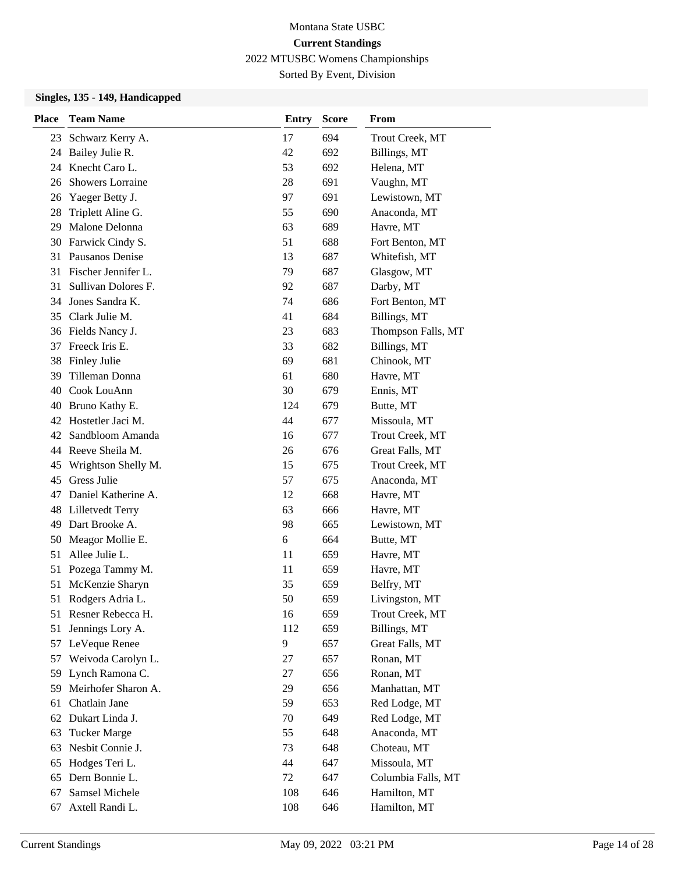Sorted By Event, Division

#### **Singles, 135 - 149, Handicapped**

| Place | <b>Team Name</b>        | <b>Entry</b> | <b>Score</b> | From               |
|-------|-------------------------|--------------|--------------|--------------------|
| 23    | Schwarz Kerry A.        | 17           | 694          | Trout Creek, MT    |
| 24    | Bailey Julie R.         | 42           | 692          | Billings, MT       |
| 24    | Knecht Caro L.          | 53           | 692          | Helena, MT         |
| 26    | <b>Showers Lorraine</b> | 28           | 691          | Vaughn, MT         |
| 26    | Yaeger Betty J.         | 97           | 691          | Lewistown, MT      |
| 28    | Triplett Aline G.       | 55           | 690          | Anaconda, MT       |
| 29    | Malone Delonna          | 63           | 689          | Havre, MT          |
| 30    | Farwick Cindy S.        | 51           | 688          | Fort Benton, MT    |
| 31    | Pausanos Denise         | 13           | 687          | Whitefish, MT      |
| 31    | Fischer Jennifer L.     | 79           | 687          | Glasgow, MT        |
| 31    | Sullivan Dolores F.     | 92           | 687          | Darby, MT          |
| 34    | Jones Sandra K.         | 74           | 686          | Fort Benton, MT    |
| 35    | Clark Julie M.          | 41           | 684          | Billings, MT       |
| 36    | Fields Nancy J.         | 23           | 683          | Thompson Falls, MT |
| 37    | Freeck Iris E.          | 33           | 682          | Billings, MT       |
| 38    | Finley Julie            | 69           | 681          | Chinook, MT        |
| 39    | Tilleman Donna          | 61           | 680          | Havre, MT          |
| 40    | Cook LouAnn             | 30           | 679          | Ennis, MT          |
| 40    | Bruno Kathy E.          | 124          | 679          | Butte, MT          |
| 42    | Hostetler Jaci M.       | 44           | 677          | Missoula, MT       |
| 42    | Sandbloom Amanda        | 16           | 677          | Trout Creek, MT    |
| 44    | Reeve Sheila M.         | 26           | 676          | Great Falls, MT    |
| 45    | Wrightson Shelly M.     | 15           | 675          | Trout Creek, MT    |
| 45    | Gress Julie             | 57           | 675          | Anaconda, MT       |
| 47    | Daniel Katherine A.     | 12           | 668          | Havre, MT          |
| 48    | Lilletvedt Terry        | 63           | 666          | Havre, MT          |
| 49    | Dart Brooke A.          | 98           | 665          | Lewistown, MT      |
| 50    | Meagor Mollie E.        | 6            | 664          | Butte, MT          |
| 51    | Allee Julie L.          | 11           | 659          | Havre, MT          |
| 51    | Pozega Tammy M.         | 11           | 659          | Havre, MT          |
| 51    | McKenzie Sharyn         | 35           | 659          | Belfry, MT         |
| 51    | Rodgers Adria L.        | 50           | 659          | Livingston, MT     |
| 51    | Resner Rebecca H.       | 16           | 659          | Trout Creek, MT    |
| 51    | Jennings Lory A.        | 112          | 659          | Billings, MT       |
| 57    | LeVeque Renee           | 9            | 657          | Great Falls, MT    |
| 57    | Weivoda Carolyn L.      | 27           | 657          | Ronan, MT          |
| 59    | Lynch Ramona C.         | 27           | 656          | Ronan, MT          |
| 59    | Meirhofer Sharon A.     | 29           | 656          | Manhattan, MT      |
| 61    | Chatlain Jane           | 59           | 653          | Red Lodge, MT      |
| 62    | Dukart Linda J.         | 70           | 649          | Red Lodge, MT      |
| 63    | <b>Tucker Marge</b>     | 55           | 648          | Anaconda, MT       |
| 63    | Nesbit Connie J.        | 73           | 648          | Choteau, MT        |
| 65    | Hodges Teri L.          | 44           | 647          | Missoula, MT       |
| 65    | Dern Bonnie L.          | 72           | 647          | Columbia Falls, MT |
| 67    | Samsel Michele          | 108          | 646          | Hamilton, MT       |
| 67    | Axtell Randi L.         | 108          | 646          | Hamilton, MT       |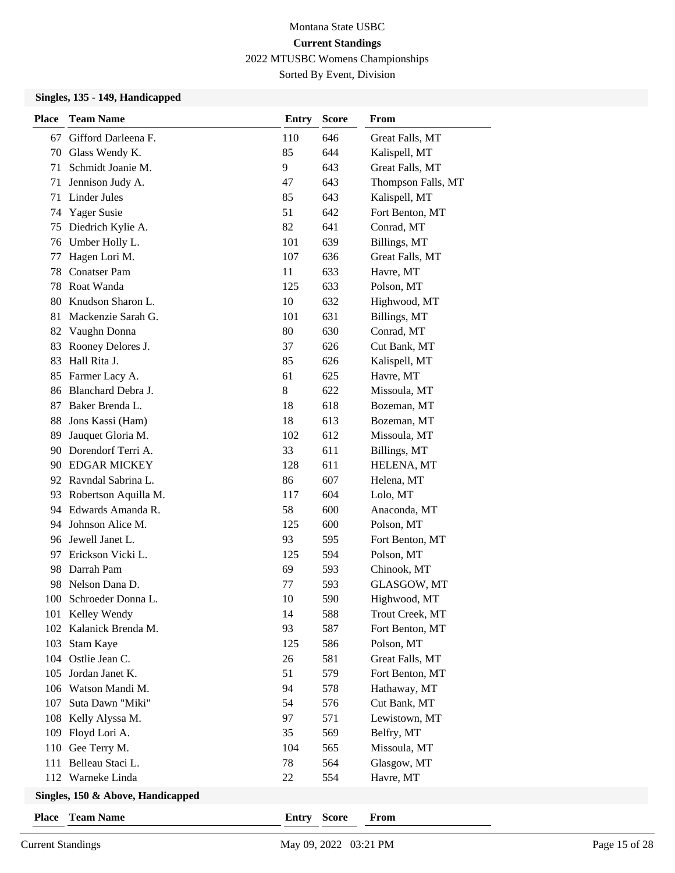Sorted By Event, Division

### **Singles, 135 - 149, Handicapped**

| <b>Place</b> | <b>Team Name</b>      | <b>Entry</b> | <b>Score</b> | From               |
|--------------|-----------------------|--------------|--------------|--------------------|
| 67           | Gifford Darleena F.   | 110          | 646          | Great Falls, MT    |
| 70           | Glass Wendy K.        | 85           | 644          | Kalispell, MT      |
| 71           | Schmidt Joanie M.     | 9            | 643          | Great Falls, MT    |
| 71           | Jennison Judy A.      | 47           | 643          | Thompson Falls, MT |
| 71           | Linder Jules          | 85           | 643          | Kalispell, MT      |
| 74           | Yager Susie           | 51           | 642          | Fort Benton, MT    |
| 75           | Diedrich Kylie A.     | 82           | 641          | Conrad, MT         |
| 76           | Umber Holly L.        | 101          | 639          | Billings, MT       |
| 77           | Hagen Lori M.         | 107          | 636          | Great Falls, MT    |
| 78           | <b>Conatser Pam</b>   | 11           | 633          | Havre, MT          |
| 78           | Roat Wanda            | 125          | 633          | Polson, MT         |
| 80           | Knudson Sharon L.     | 10           | 632          | Highwood, MT       |
| 81           | Mackenzie Sarah G.    | 101          | 631          | Billings, MT       |
| 82           | Vaughn Donna          | 80           | 630          | Conrad, MT         |
| 83           | Rooney Delores J.     | 37           | 626          | Cut Bank, MT       |
| 83           | Hall Rita J.          | 85           | 626          | Kalispell, MT      |
| 85           | Farmer Lacy A.        | 61           | 625          | Havre, MT          |
| 86           | Blanchard Debra J.    | 8            | 622          | Missoula, MT       |
| 87           | Baker Brenda L.       | 18           | 618          | Bozeman, MT        |
| 88           | Jons Kassi (Ham)      | 18           | 613          | Bozeman, MT        |
| 89           | Jauquet Gloria M.     | 102          | 612          | Missoula, MT       |
| 90           | Dorendorf Terri A.    | 33           | 611          | Billings, MT       |
| 90           | <b>EDGAR MICKEY</b>   | 128          | 611          | HELENA, MT         |
|              | 92 Ravndal Sabrina L. | 86           | 607          | Helena, MT         |
| 93           | Robertson Aquilla M.  | 117          | 604          | Lolo, MT           |
| 94           | Edwards Amanda R.     | 58           | 600          | Anaconda, MT       |
| 94           | Johnson Alice M.      | 125          | 600          | Polson, MT         |
|              | 96 Jewell Janet L.    | 93           | 595          | Fort Benton, MT    |
| 97           | Erickson Vicki L.     | 125          | 594          | Polson, MT         |
| 98           | Darrah Pam            | 69           | 593          | Chinook, MT        |
| 98           | Nelson Dana D.        | 77           | 593          | GLASGOW, MT        |
| 100          | Schroeder Donna L.    | 10           | 590          | Highwood, MT       |
|              | 101 Kelley Wendy      | 14           | 588          | Trout Creek, MT    |
| 102          | Kalanick Brenda M.    | 93           | 587          | Fort Benton, MT    |
| 103          | Stam Kaye             | 125          | 586          | Polson, MT         |
|              | 104 Ostlie Jean C.    | 26           | 581          | Great Falls, MT    |
| 105          | Jordan Janet K.       | 51           | 579          | Fort Benton, MT    |
|              | 106 Watson Mandi M.   | 94           | 578          | Hathaway, MT       |
| 107          | Suta Dawn "Miki"      | 54           | 576          | Cut Bank, MT       |
|              | 108 Kelly Alyssa M.   | 97           | 571          | Lewistown, MT      |
| 109          | Floyd Lori A.         | 35           | 569          | Belfry, MT         |
| 110          | Gee Terry M.          | 104          | 565          | Missoula, MT       |
| 111          | Belleau Staci L.      | 78           | 564          | Glasgow, MT        |
|              | 112 Warneke Linda     | 22           | 554          | Havre, MT          |
|              |                       |              |              |                    |

#### **Singles, 150 & Above, Handicapped**

**Place Team Name Entry Score From**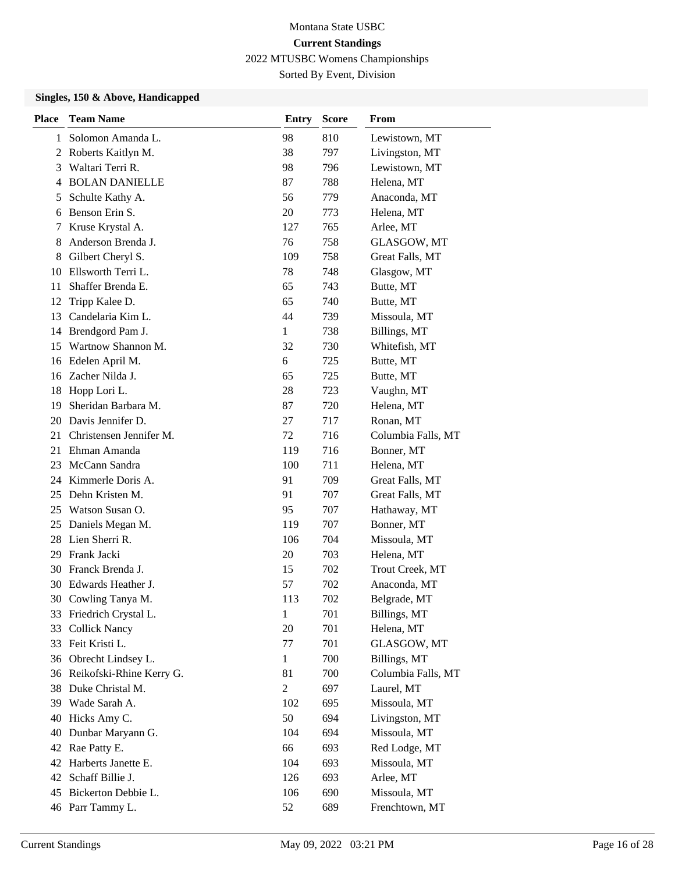Sorted By Event, Division

### **Singles, 150 & Above, Handicapped**

| <b>Place</b> | <b>Team Name</b>            | <b>Entry</b>   | <b>Score</b> | From               |
|--------------|-----------------------------|----------------|--------------|--------------------|
| 1            | Solomon Amanda L.           | 98             | 810          | Lewistown, MT      |
| 2            | Roberts Kaitlyn M.          | 38             | 797          | Livingston, MT     |
| 3            | Waltari Terri R.            | 98             | 796          | Lewistown, MT      |
| 4            | <b>BOLAN DANIELLE</b>       | 87             | 788          | Helena, MT         |
| 5            | Schulte Kathy A.            | 56             | 779          | Anaconda, MT       |
| 6            | Benson Erin S.              | 20             | 773          | Helena, MT         |
| 7            | Kruse Krystal A.            | 127            | 765          | Arlee, MT          |
| 8            | Anderson Brenda J.          | 76             | 758          | GLASGOW, MT        |
| 8            | Gilbert Cheryl S.           | 109            | 758          | Great Falls, MT    |
| 10           | Ellsworth Terri L.          | 78             | 748          | Glasgow, MT        |
| 11           | Shaffer Brenda E.           | 65             | 743          | Butte, MT          |
| 12           | Tripp Kalee D.              | 65             | 740          | Butte, MT          |
| 13           | Candelaria Kim L.           | 44             | 739          | Missoula, MT       |
| 14           | Brendgord Pam J.            | $\mathbf{1}$   | 738          | Billings, MT       |
| 15           | Wartnow Shannon M.          | 32             | 730          | Whitefish, MT      |
| 16           | Edelen April M.             | 6              | 725          | Butte, MT          |
| 16           | Zacher Nilda J.             | 65             | 725          | Butte, MT          |
| 18           | Hopp Lori L.                | 28             | 723          | Vaughn, MT         |
| 19           | Sheridan Barbara M.         | 87             | 720          | Helena, MT         |
| 20           | Davis Jennifer D.           | 27             | 717          | Ronan, MT          |
| 21           | Christensen Jennifer M.     | 72             | 716          | Columbia Falls, MT |
| 21           | Ehman Amanda                | 119            | 716          | Bonner, MT         |
| 23           | McCann Sandra               | 100            | 711          | Helena, MT         |
|              | 24 Kimmerle Doris A.        | 91             | 709          | Great Falls, MT    |
| 25           | Dehn Kristen M.             | 91             | 707          | Great Falls, MT    |
| 25           | Watson Susan O.             | 95             | 707          | Hathaway, MT       |
| 25           | Daniels Megan M.            | 119            | 707          | Bonner, MT         |
| 28           | Lien Sherri R.              | 106            | 704          | Missoula, MT       |
| 29           | Frank Jacki                 | 20             | 703          | Helena, MT         |
| 30           | Franck Brenda J.            | 15             | 702          | Trout Creek, MT    |
| 30           | Edwards Heather J.          | 57             | 702          | Anaconda, MT       |
|              | 30 Cowling Tanya M.         | 113            | 702          | Belgrade, MT       |
|              | 33 Friedrich Crystal L.     | $\mathbf{1}$   | 701          | Billings, MT       |
| 33           | <b>Collick Nancy</b>        | 20             | 701          | Helena, MT         |
|              | 33 Feit Kristi L.           | 77             | 701          | GLASGOW, MT        |
|              | 36 Obrecht Lindsey L.       | $\mathbf{1}$   | 700          | Billings, MT       |
|              | 36 Reikofski-Rhine Kerry G. | 81             | 700          | Columbia Falls, MT |
| 38           | Duke Christal M.            | $\overline{c}$ | 697          | Laurel, MT         |
| 39           | Wade Sarah A.               | 102            | 695          | Missoula, MT       |
| 40           | Hicks Amy C.                | 50             | 694          | Livingston, MT     |
| 40           | Dunbar Maryann G.           | 104            | 694          | Missoula, MT       |
|              | 42 Rae Patty E.             | 66             | 693          | Red Lodge, MT      |
|              | 42 Harberts Janette E.      | 104            | 693          | Missoula, MT       |
| 42           | Schaff Billie J.            | 126            | 693          | Arlee, MT          |
| 45           | Bickerton Debbie L.         | 106            | 690          | Missoula, MT       |
|              | 46 Parr Tammy L.            | 52             | 689          | Frenchtown, MT     |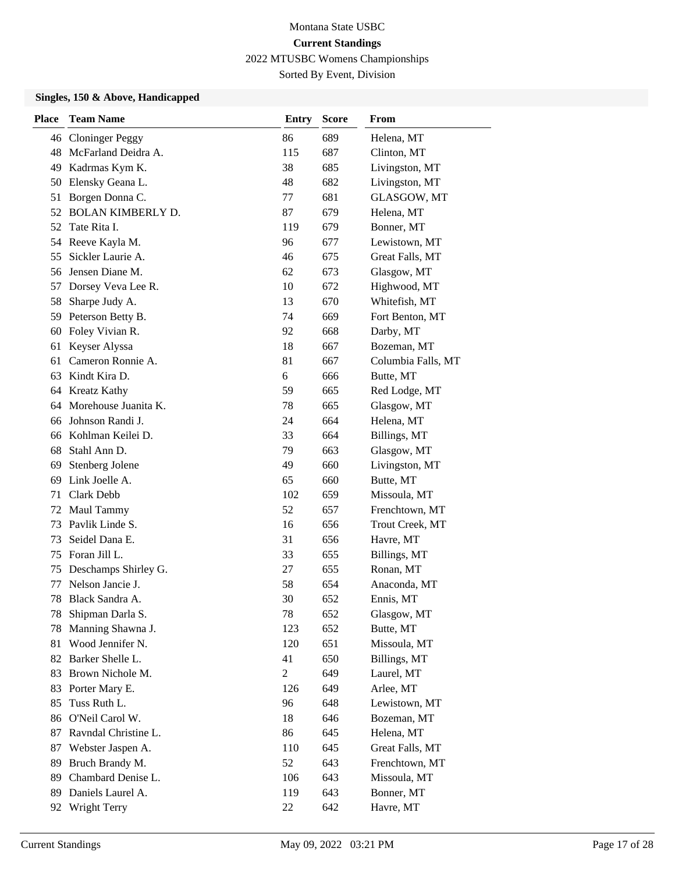Sorted By Event, Division

#### **Singles, 150 & Above, Handicapped**

| <b>Place</b> | <b>Team Name</b>         | <b>Entry</b>   | <b>Score</b> | From               |
|--------------|--------------------------|----------------|--------------|--------------------|
| 46           | <b>Cloninger Peggy</b>   | 86             | 689          | Helena, MT         |
| 48           | McFarland Deidra A.      | 115            | 687          | Clinton, MT        |
| 49           | Kadrmas Kym K.           | 38             | 685          | Livingston, MT     |
| 50           | Elensky Geana L.         | 48             | 682          | Livingston, MT     |
| 51           | Borgen Donna C.          | 77             | 681          | GLASGOW, MT        |
| 52           | <b>BOLAN KIMBERLY D.</b> | 87             | 679          | Helena, MT         |
| 52           | Tate Rita I.             | 119            | 679          | Bonner, MT         |
| 54           | Reeve Kayla M.           | 96             | 677          | Lewistown, MT      |
| 55           | Sickler Laurie A.        | 46             | 675          | Great Falls, MT    |
| 56           | Jensen Diane M.          | 62             | 673          | Glasgow, MT        |
| 57           | Dorsey Veva Lee R.       | 10             | 672          | Highwood, MT       |
| 58           | Sharpe Judy A.           | 13             | 670          | Whitefish, MT      |
| 59           | Peterson Betty B.        | 74             | 669          | Fort Benton, MT    |
| 60           | Foley Vivian R.          | 92             | 668          | Darby, MT          |
| 61           | Keyser Alyssa            | 18             | 667          | Bozeman, MT        |
| 61           | Cameron Ronnie A.        | 81             | 667          | Columbia Falls, MT |
| 63           | Kindt Kira D.            | 6              | 666          | Butte, MT          |
| 64           | <b>Kreatz Kathy</b>      | 59             | 665          | Red Lodge, MT      |
| 64           | Morehouse Juanita K.     | 78             | 665          | Glasgow, MT        |
| 66           | Johnson Randi J.         | 24             | 664          | Helena, MT         |
| 66           | Kohlman Keilei D.        | 33             | 664          | Billings, MT       |
| 68           | Stahl Ann D.             | 79             | 663          | Glasgow, MT        |
| 69           | Stenberg Jolene          | 49             | 660          | Livingston, MT     |
| 69           | Link Joelle A.           | 65             | 660          | Butte, MT          |
| 71           | Clark Debb               | 102            | 659          | Missoula, MT       |
| 72           | Maul Tammy               | 52             | 657          | Frenchtown, MT     |
| 73           | Pavlik Linde S.          | 16             | 656          | Trout Creek, MT    |
| 73           | Seidel Dana E.           | 31             | 656          | Havre, MT          |
| 75           | Foran Jill L.            | 33             | 655          | Billings, MT       |
| 75           | Deschamps Shirley G.     | 27             | 655          | Ronan, MT          |
| 77           | Nelson Jancie J.         | 58             | 654          | Anaconda, MT       |
| 78           | Black Sandra A.          | 30             | 652          | Ennis, MT          |
| 78           | Shipman Darla S.         | 78             | 652          | Glasgow, MT        |
| 78           | Manning Shawna J.        | 123            | 652          | Butte, MT          |
| 81           | Wood Jennifer N.         | 120            | 651          | Missoula, MT       |
| 82           | Barker Shelle L.         | 41             | 650          | Billings, MT       |
| 83           | Brown Nichole M.         | $\overline{c}$ | 649          | Laurel, MT         |
| 83           | Porter Mary E.           | 126            | 649          | Arlee, MT          |
| 85           | Tuss Ruth L.             | 96             | 648          | Lewistown, MT      |
| 86           | O'Neil Carol W.          | 18             | 646          | Bozeman, MT        |
| 87           | Ravndal Christine L.     | 86             | 645          | Helena, MT         |
| 87           | Webster Jaspen A.        | 110            | 645          | Great Falls, MT    |
| 89           | Bruch Brandy M.          | 52             | 643          | Frenchtown, MT     |
| 89           | Chambard Denise L.       | 106            | 643          | Missoula, MT       |
| 89           | Daniels Laurel A.        | 119            | 643          | Bonner, MT         |
| 92           | Wright Terry             | 22             | 642          | Havre, MT          |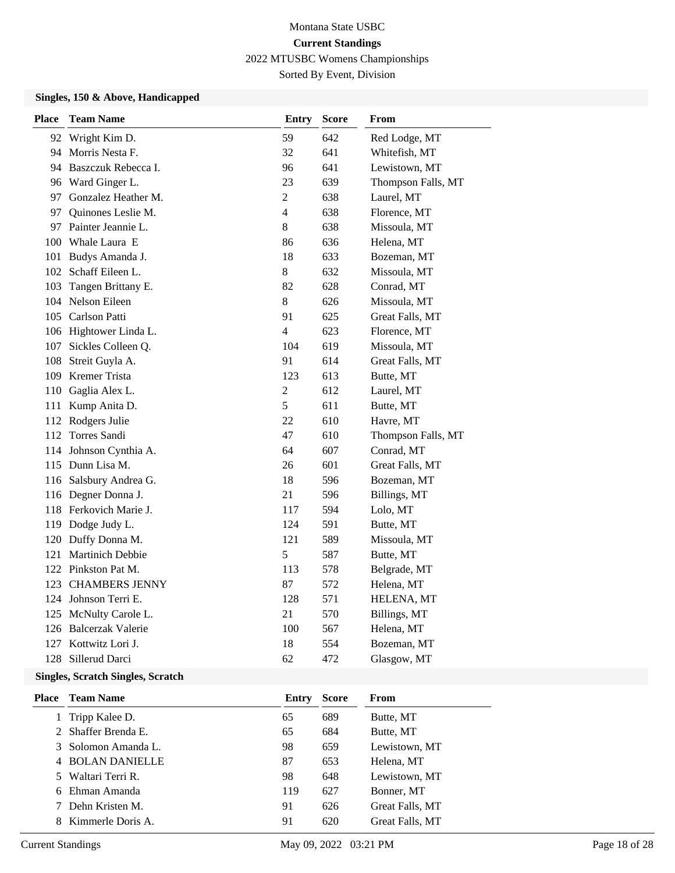Sorted By Event, Division

#### **Singles, 150 & Above, Handicapped**

| <b>Place</b> | <b>Team Name</b>        | Entry                    | <b>Score</b> | From               |
|--------------|-------------------------|--------------------------|--------------|--------------------|
|              | 92 Wright Kim D.        | 59                       | 642          | Red Lodge, MT      |
|              | 94 Morris Nesta F.      | 32                       | 641          | Whitefish, MT      |
|              | 94 Baszczuk Rebecca I.  | 96                       | 641          | Lewistown, MT      |
|              | 96 Ward Ginger L.       | 23                       | 639          | Thompson Falls, MT |
|              | 97 Gonzalez Heather M.  | $\overline{2}$           | 638          | Laurel, MT         |
|              | 97 Quinones Leslie M.   | $\overline{\mathcal{L}}$ | 638          | Florence, MT       |
|              | 97 Painter Jeannie L.   | 8                        | 638          | Missoula, MT       |
|              | 100 Whale Laura E       | 86                       | 636          | Helena, MT         |
| 101          | Budys Amanda J.         | 18                       | 633          | Bozeman, MT        |
|              | 102 Schaff Eileen L.    | 8                        | 632          | Missoula, MT       |
| 103          | Tangen Brittany E.      | 82                       | 628          | Conrad, MT         |
|              | 104 Nelson Eileen       | 8                        | 626          | Missoula, MT       |
|              | 105 Carlson Patti       | 91                       | 625          | Great Falls, MT    |
|              | 106 Hightower Linda L.  | $\overline{\mathcal{L}}$ | 623          | Florence, MT       |
| 107          | Sickles Colleen Q.      | 104                      | 619          | Missoula, MT       |
|              | 108 Streit Guyla A.     | 91                       | 614          | Great Falls, MT    |
|              | 109 Kremer Trista       | 123                      | 613          | Butte, MT          |
|              | 110 Gaglia Alex L.      | $\overline{c}$           | 612          | Laurel, MT         |
| 111          | Kump Anita D.           | 5                        | 611          | Butte, MT          |
|              | 112 Rodgers Julie       | 22                       | 610          | Havre, MT          |
|              | 112 Torres Sandi        | 47                       | 610          | Thompson Falls, MT |
|              | 114 Johnson Cynthia A.  | 64                       | 607          | Conrad, MT         |
|              | 115 Dunn Lisa M.        | 26                       | 601          | Great Falls, MT    |
|              | 116 Salsbury Andrea G.  | 18                       | 596          | Bozeman, MT        |
|              | 116 Degner Donna J.     | 21                       | 596          | Billings, MT       |
|              | 118 Ferkovich Marie J.  | 117                      | 594          | Lolo, MT           |
|              | 119 Dodge Judy L.       | 124                      | 591          | Butte, MT          |
|              | 120 Duffy Donna M.      | 121                      | 589          | Missoula, MT       |
| 121          | <b>Martinich Debbie</b> | 5                        | 587          | Butte, MT          |
|              | 122 Pinkston Pat M.     | 113                      | 578          | Belgrade, MT       |
|              | 123 CHAMBERS JENNY      | 87                       | 572          | Helena, MT         |
|              | 124 Johnson Terri E.    | 128                      | 571          | HELENA, MT         |
|              | 125 McNulty Carole L.   | 21                       | 570          | Billings, MT       |
|              | 126 Balcerzak Valerie   | 100                      | 567          | Helena, MT         |
| 127          | Kottwitz Lori J.        | 18                       | 554          | Bozeman, MT        |
| 128          | Sillerud Darci          | 62                       | 472          | Glasgow, MT        |

### **Singles, Scratch Singles, Scratch**

| Place | <b>Team Name</b>    | Entry | <b>Score</b> | From            |
|-------|---------------------|-------|--------------|-----------------|
|       | 1 Tripp Kalee D.    | 65    | 689          | Butte, MT       |
|       | 2 Shaffer Brenda E. | 65    | 684          | Butte, MT       |
|       | 3 Solomon Amanda L. | 98    | 659          | Lewistown, MT   |
|       | 4 BOLAN DANIELLE    | 87    | 653          | Helena, MT      |
| 5.    | Waltari Terri R.    | 98    | 648          | Lewistown, MT   |
|       | 6 Ehman Amanda      | 119   | 627          | Bonner, MT      |
|       | 7 Dehn Kristen M.   | 91    | 626          | Great Falls, MT |
|       | 8 Kimmerle Doris A. | 91    | 620          | Great Falls, MT |
|       |                     |       |              |                 |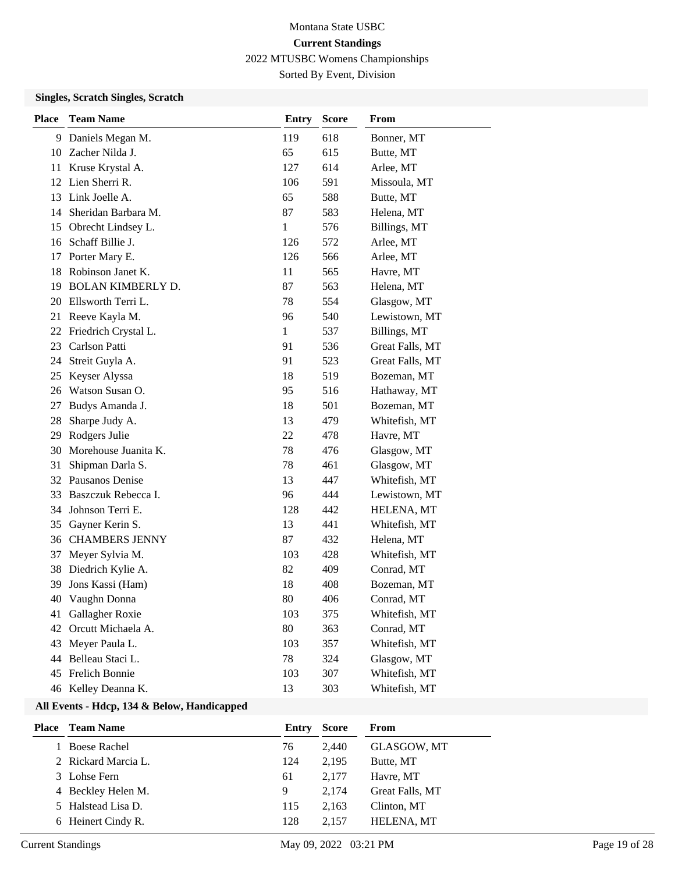# Montana State USBC **Current Standings**

2022 MTUSBC Womens Championships

Sorted By Event, Division

### **Singles, Scratch Singles, Scratch**

| <b>Place</b> | <b>Team Name</b>         | Entry        | <b>Score</b> | From            |
|--------------|--------------------------|--------------|--------------|-----------------|
| 9            | Daniels Megan M.         | 119          | 618          | Bonner, MT      |
|              | 10 Zacher Nilda J.       | 65           | 615          | Butte, MT       |
| 11           | Kruse Krystal A.         | 127          | 614          | Arlee, MT       |
|              | 12 Lien Sherri R.        | 106          | 591          | Missoula, MT    |
| 13           | Link Joelle A.           | 65           | 588          | Butte, MT       |
| 14           | Sheridan Barbara M.      | 87           | 583          | Helena, MT      |
| 15           | Obrecht Lindsey L.       | 1            | 576          | Billings, MT    |
| 16           | Schaff Billie J.         | 126          | 572          | Arlee, MT       |
| 17           | Porter Mary E.           | 126          | 566          | Arlee, MT       |
| 18           | Robinson Janet K.        | 11           | 565          | Havre, MT       |
| 19           | <b>BOLAN KIMBERLY D.</b> | 87           | 563          | Helena, MT      |
| 20           | Ellsworth Terri L.       | 78           | 554          | Glasgow, MT     |
| 21           | Reeve Kayla M.           | 96           | 540          | Lewistown, MT   |
| 22           | Friedrich Crystal L.     | $\mathbf{1}$ | 537          | Billings, MT    |
| 23           | Carlson Patti            | 91           | 536          | Great Falls, MT |
| 24           | Streit Guyla A.          | 91           | 523          | Great Falls, MT |
| 25           | Keyser Alyssa            | 18           | 519          | Bozeman, MT     |
| 26           | Watson Susan O.          | 95           | 516          | Hathaway, MT    |
| 27           | Budys Amanda J.          | 18           | 501          | Bozeman, MT     |
| 28           | Sharpe Judy A.           | 13           | 479          | Whitefish, MT   |
| 29           | Rodgers Julie            | 22           | 478          | Havre, MT       |
| 30           | Morehouse Juanita K.     | 78           | 476          | Glasgow, MT     |
| 31           | Shipman Darla S.         | 78           | 461          | Glasgow, MT     |
|              | 32 Pausanos Denise       | 13           | 447          | Whitefish, MT   |
| 33           | Baszczuk Rebecca I.      | 96           | 444          | Lewistown, MT   |
| 34           | Johnson Terri E.         | 128          | 442          | HELENA, MT      |
| 35           | Gayner Kerin S.          | 13           | 441          | Whitefish, MT   |
| 36           | <b>CHAMBERS JENNY</b>    | 87           | 432          | Helena, MT      |
| 37           | Meyer Sylvia M.          | 103          | 428          | Whitefish, MT   |
| 38           | Diedrich Kylie A.        | 82           | 409          | Conrad, MT      |
| 39           | Jons Kassi (Ham)         | 18           | 408          | Bozeman, MT     |
| 40           | Vaughn Donna             | 80           | 406          | Conrad, MT      |
| 41           | Gallagher Roxie          | 103          | 375          | Whitefish, MT   |
| 42           | Orcutt Michaela A.       | 80           | 363          | Conrad, MT      |
| 43           | Meyer Paula L.           | 103          | 357          | Whitefish, MT   |
| 44           | Belleau Staci L.         | 78           | 324          | Glasgow, MT     |
| 45           | Frelich Bonnie           | 103          | 307          | Whitefish, MT   |
|              | 46 Kelley Deanna K.      | 13           | 303          | Whitefish, MT   |

### **All Events - Hdcp, 134 & Below, Handicapped**

| Place | <b>Team Name</b>    | Entry | <b>Score</b> | From               |
|-------|---------------------|-------|--------------|--------------------|
|       | 1 Boese Rachel      | 76    | 2.440        | <b>GLASGOW, MT</b> |
|       | 2 Rickard Marcia L. | 124   | 2.195        | Butte, MT          |
|       | 3 Lohse Fern        | 61    | 2.177        | Havre, MT          |
|       | 4 Beckley Helen M.  | 9     | 2.174        | Great Falls, MT    |
|       | 5 Halstead Lisa D.  | 115   | 2.163        | Clinton, MT        |
|       | 6 Heinert Cindy R.  | 128   | 2.157        | HELENA, MT         |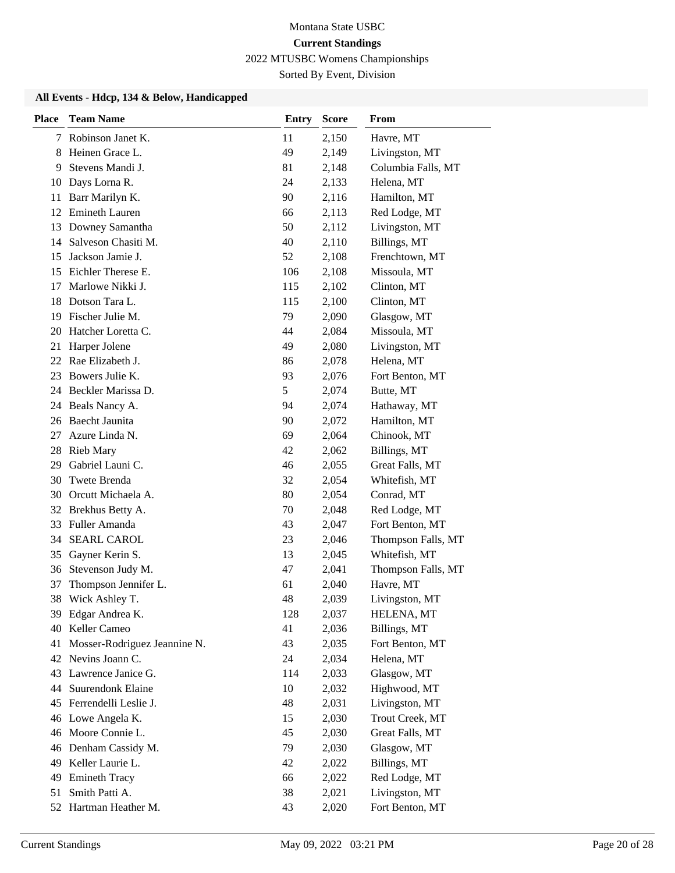Sorted By Event, Division

#### **All Events - Hdcp, 134 & Below, Handicapped**

| <b>Place</b> | <b>Team Name</b>             | <b>Entry</b> | <b>Score</b> | From               |
|--------------|------------------------------|--------------|--------------|--------------------|
| 7            | Robinson Janet K.            | 11           | 2,150        | Havre, MT          |
| 8            | Heinen Grace L.              | 49           | 2,149        | Livingston, MT     |
| 9            | Stevens Mandi J.             | 81           | 2,148        | Columbia Falls, MT |
| 10           | Days Lorna R.                | 24           | 2,133        | Helena, MT         |
| 11           | Barr Marilyn K.              | 90           | 2,116        | Hamilton, MT       |
| 12           | <b>Emineth Lauren</b>        | 66           | 2,113        | Red Lodge, MT      |
| 13           | Downey Samantha              | 50           | 2,112        | Livingston, MT     |
| 14           | Salveson Chasiti M.          | 40           | 2,110        | Billings, MT       |
| 15           | Jackson Jamie J.             | 52           | 2,108        | Frenchtown, MT     |
| 15           | Eichler Therese E.           | 106          | 2,108        | Missoula, MT       |
| 17           | Marlowe Nikki J.             | 115          | 2,102        | Clinton, MT        |
| 18           | Dotson Tara L.               | 115          | 2,100        | Clinton, MT        |
| 19           | Fischer Julie M.             | 79           | 2,090        | Glasgow, MT        |
| 20           | Hatcher Loretta C.           | 44           | 2,084        | Missoula, MT       |
| 21           | Harper Jolene                | 49           | 2,080        | Livingston, MT     |
| 22           | Rae Elizabeth J.             | 86           | 2,078        | Helena, MT         |
| 23           | Bowers Julie K.              | 93           | 2,076        | Fort Benton, MT    |
| 24           | Beckler Marissa D.           | 5            | 2,074        | Butte, MT          |
|              | 24 Beals Nancy A.            | 94           | 2,074        | Hathaway, MT       |
| 26           | Baecht Jaunita               | 90           | 2,072        | Hamilton, MT       |
| 27           | Azure Linda N.               | 69           | 2,064        | Chinook, MT        |
| 28           | <b>Rieb Mary</b>             | 42           | 2,062        | Billings, MT       |
| 29           | Gabriel Launi C.             | 46           | 2,055        | Great Falls, MT    |
| 30           | Twete Brenda                 | 32           | 2,054        | Whitefish, MT      |
| 30           | Orcutt Michaela A.           | 80           | 2,054        | Conrad, MT         |
|              | 32 Brekhus Betty A.          | 70           | 2,048        | Red Lodge, MT      |
| 33           | Fuller Amanda                | 43           | 2,047        | Fort Benton, MT    |
| 34           | <b>SEARL CAROL</b>           | 23           | 2,046        | Thompson Falls, MT |
| 35           | Gayner Kerin S.              | 13           | 2,045        | Whitefish, MT      |
| 36           | Stevenson Judy M.            | 47           | 2,041        | Thompson Falls, MT |
| 37           | Thompson Jennifer L.         | 61           | 2,040        | Havre, MT          |
| 38           | Wick Ashley T.               | 48           | 2,039        | Livingston, MT     |
|              | 39 Edgar Andrea K.           | 128          | 2,037        | HELENA, MT         |
|              | 40 Keller Cameo              | 41           | 2,036        | Billings, MT       |
| 41           | Mosser-Rodriguez Jeannine N. | 43           | 2,035        | Fort Benton, MT    |
|              | 42 Nevins Joann C.           | 24           | 2,034        | Helena, MT         |
| 43           | Lawrence Janice G.           | 114          | 2,033        | Glasgow, MT        |
| 44           | Suurendonk Elaine            | 10           | 2,032        | Highwood, MT       |
|              | 45 Ferrendelli Leslie J.     | 48           | 2,031        | Livingston, MT     |
|              | 46 Lowe Angela K.            | 15           | 2,030        | Trout Creek, MT    |
|              | 46 Moore Connie L.           | 45           | 2,030        | Great Falls, MT    |
|              | 46 Denham Cassidy M.         | 79           | 2,030        | Glasgow, MT        |
|              | 49 Keller Laurie L.          | 42           | 2,022        | Billings, MT       |
| 49           | <b>Emineth Tracy</b>         | 66           | 2,022        | Red Lodge, MT      |
| 51           | Smith Patti A.               | 38           | 2,021        | Livingston, MT     |
|              | 52 Hartman Heather M.        | 43           | 2,020        | Fort Benton, MT    |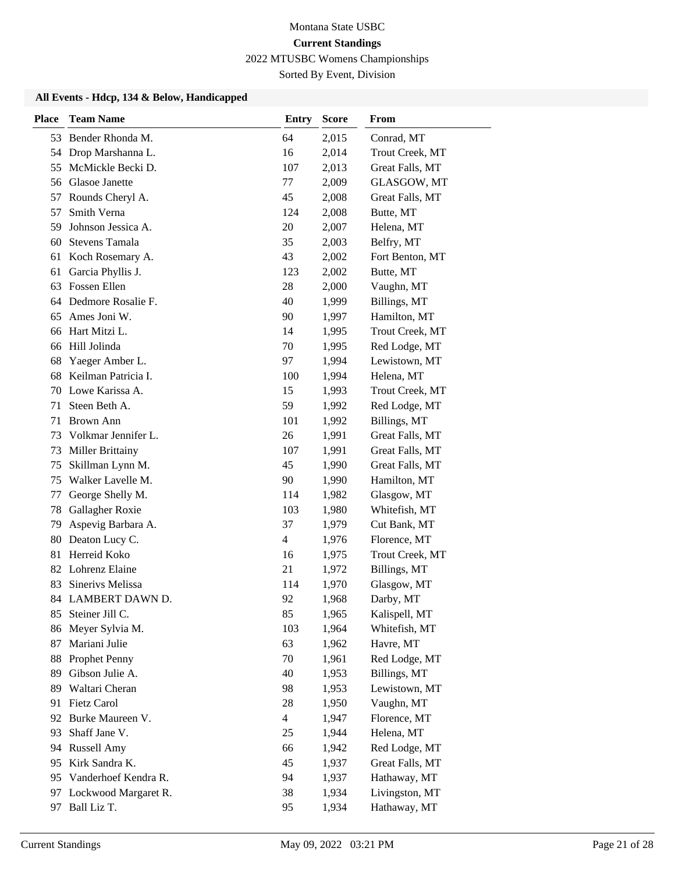Sorted By Event, Division

#### **All Events - Hdcp, 134 & Below, Handicapped**

| <b>Place</b> | <b>Team Name</b>        | <b>Entry</b>   | <b>Score</b> | From            |
|--------------|-------------------------|----------------|--------------|-----------------|
|              | 53 Bender Rhonda M.     | 64             | 2,015        | Conrad, MT      |
| 54           | Drop Marshanna L.       | 16             | 2,014        | Trout Creek, MT |
| 55           | McMickle Becki D.       | 107            | 2,013        | Great Falls, MT |
| 56           | Glasoe Janette          | 77             | 2,009        | GLASGOW, MT     |
| 57           | Rounds Cheryl A.        | 45             | 2,008        | Great Falls, MT |
| 57           | Smith Verna             | 124            | 2,008        | Butte, MT       |
| 59           | Johnson Jessica A.      | 20             | 2,007        | Helena, MT      |
| 60           | <b>Stevens Tamala</b>   | 35             | 2,003        | Belfry, MT      |
| 61           | Koch Rosemary A.        | 43             | 2,002        | Fort Benton, MT |
| 61           | Garcia Phyllis J.       | 123            | 2,002        | Butte, MT       |
|              | 63 Fossen Ellen         | 28             | 2,000        | Vaughn, MT      |
| 64           | Dedmore Rosalie F.      | 40             | 1,999        | Billings, MT    |
| 65           | Ames Joni W.            | 90             | 1,997        | Hamilton, MT    |
| 66           | Hart Mitzi L.           | 14             | 1,995        | Trout Creek, MT |
|              | 66 Hill Jolinda         | 70             | 1,995        | Red Lodge, MT   |
| 68           | Yaeger Amber L.         | 97             | 1,994        | Lewistown, MT   |
| 68           | Keilman Patricia I.     | 100            | 1,994        | Helena, MT      |
| 70           | Lowe Karissa A.         | 15             | 1,993        | Trout Creek, MT |
| 71           | Steen Beth A.           | 59             | 1,992        | Red Lodge, MT   |
| 71           | <b>Brown Ann</b>        | 101            | 1,992        | Billings, MT    |
| 73           | Volkmar Jennifer L.     | 26             | 1,991        | Great Falls, MT |
| 73           | <b>Miller Brittainy</b> | 107            | 1,991        | Great Falls, MT |
| 75           | Skillman Lynn M.        | 45             | 1,990        | Great Falls, MT |
| 75           | Walker Lavelle M.       | 90             | 1,990        | Hamilton, MT    |
| 77           | George Shelly M.        | 114            | 1,982        | Glasgow, MT     |
| 78           | Gallagher Roxie         | 103            | 1,980        | Whitefish, MT   |
| 79           | Aspevig Barbara A.      | 37             | 1,979        | Cut Bank, MT    |
| 80           | Deaton Lucy C.          | $\overline{4}$ | 1,976        | Florence, MT    |
| 81           | Herreid Koko            | 16             | 1,975        | Trout Creek, MT |
|              | 82 Lohrenz Elaine       | 21             | 1,972        | Billings, MT    |
| 83           | Sinerivs Melissa        | 114            | 1,970        | Glasgow, MT     |
|              | 84 LAMBERT DAWN D.      | 92             | 1,968        | Darby, MT       |
| 85           | Steiner Jill C.         | 85             | 1,965        | Kalispell, MT   |
| 86           | Meyer Sylvia M.         | 103            | 1,964        | Whitefish, MT   |
| 87           | Mariani Julie           | 63             | 1,962        | Havre, MT       |
| 88           | Prophet Penny           | 70             | 1,961        | Red Lodge, MT   |
| 89           | Gibson Julie A.         | 40             | 1,953        | Billings, MT    |
| 89           | Waltari Cheran          | 98             | 1,953        | Lewistown, MT   |
| 91           | Fietz Carol             | 28             | 1,950        | Vaughn, MT      |
| 92           | Burke Maureen V.        | $\overline{4}$ | 1,947        | Florence, MT    |
| 93           | Shaff Jane V.           | 25             | 1,944        | Helena, MT      |
| 94           | Russell Amy             | 66             | 1,942        | Red Lodge, MT   |
| 95           | Kirk Sandra K.          | 45             | 1,937        | Great Falls, MT |
| 95           | Vanderhoef Kendra R.    | 94             | 1,937        | Hathaway, MT    |
| 97           | Lockwood Margaret R.    | 38             | 1,934        | Livingston, MT  |
| 97           | Ball Liz T.             | 95             | 1,934        | Hathaway, MT    |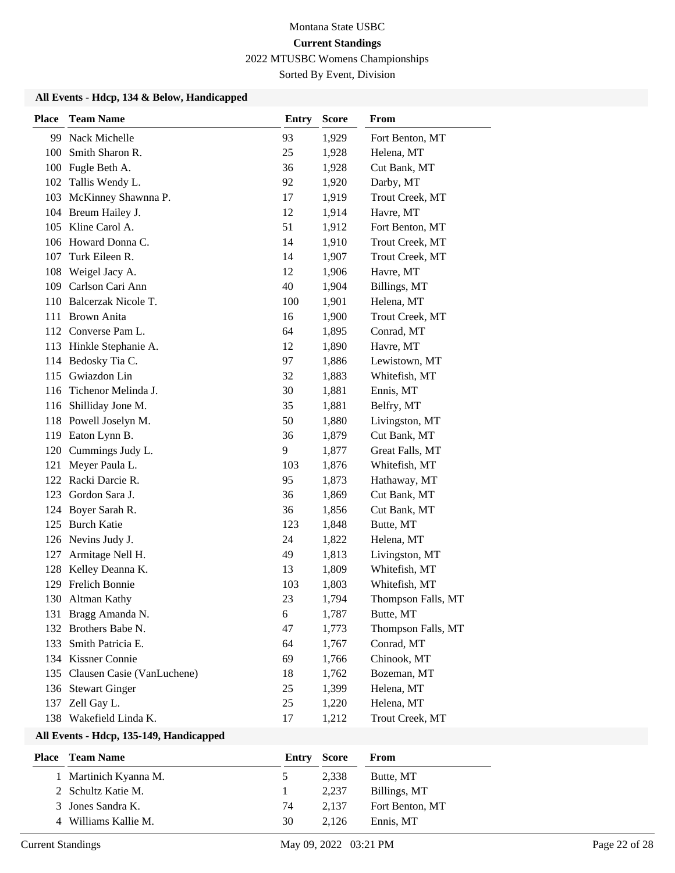Sorted By Event, Division

#### **All Events - Hdcp, 134 & Below, Handicapped**

| <b>Place</b> | <b>Team Name</b>           | <b>Entry</b> | <b>Score</b> | From               |
|--------------|----------------------------|--------------|--------------|--------------------|
| 99           | Nack Michelle              | 93           | 1,929        | Fort Benton, MT    |
| 100          | Smith Sharon R.            | 25           | 1,928        | Helena, MT         |
| 100          | Fugle Beth A.              | 36           | 1,928        | Cut Bank, MT       |
|              | 102 Tallis Wendy L.        | 92           | 1,920        | Darby, MT          |
| 103          | McKinney Shawnna P.        | 17           | 1,919        | Trout Creek, MT    |
|              | 104 Breum Hailey J.        | 12           | 1,914        | Havre, MT          |
|              | 105 Kline Carol A.         | 51           | 1,912        | Fort Benton, MT    |
| 106          | Howard Donna C.            | 14           | 1,910        | Trout Creek, MT    |
| 107          | Turk Eileen R.             | 14           | 1,907        | Trout Creek, MT    |
| 108          | Weigel Jacy A.             | 12           | 1,906        | Havre, MT          |
| 109          | Carlson Cari Ann           | 40           | 1,904        | Billings, MT       |
| 110          | Balcerzak Nicole T.        | 100          | 1,901        | Helena, MT         |
| 111          | Brown Anita                | 16           | 1,900        | Trout Creek, MT    |
| 112          | Converse Pam L.            | 64           | 1,895        | Conrad, MT         |
|              | 113 Hinkle Stephanie A.    | 12           | 1,890        | Havre, MT          |
|              | 114 Bedosky Tia C.         | 97           | 1,886        | Lewistown, MT      |
| 115          | Gwiazdon Lin               | 32           | 1,883        | Whitefish, MT      |
| 116          | Tichenor Melinda J.        | 30           | 1,881        | Ennis, MT          |
| 116          | Shilliday Jone M.          | 35           | 1,881        | Belfry, MT         |
| 118          | Powell Joselyn M.          | 50           | 1,880        | Livingston, MT     |
| 119          | Eaton Lynn B.              | 36           | 1,879        | Cut Bank, MT       |
| 120          | Cummings Judy L.           | 9            | 1,877        | Great Falls, MT    |
| 121          | Meyer Paula L.             | 103          | 1,876        | Whitefish, MT      |
|              | 122 Racki Darcie R.        | 95           | 1,873        | Hathaway, MT       |
| 123          | Gordon Sara J.             | 36           | 1,869        | Cut Bank, MT       |
|              | 124 Boyer Sarah R.         | 36           | 1,856        | Cut Bank, MT       |
| 125          | <b>Burch Katie</b>         | 123          | 1,848        | Butte, MT          |
|              | 126 Nevins Judy J.         | 24           | 1,822        | Helena, MT         |
| 127          | Armitage Nell H.           | 49           | 1,813        | Livingston, MT     |
| 128          | Kelley Deanna K.           | 13           | 1,809        | Whitefish, MT      |
| 129          | <b>Frelich Bonnie</b>      | 103          | 1,803        | Whitefish, MT      |
| 130          | Altman Kathy               | 23           | 1,794        | Thompson Falls, MT |
|              | 131 Bragg Amanda N.        | 6            | 1,787        | Butte, MT          |
|              | 132 Brothers Babe N.       | 47           | 1,773        | Thompson Falls, MT |
| 133          | Smith Patricia E.          | 64           | 1,767        | Conrad, MT         |
|              | 134 Kissner Connie         | 69           | 1,766        | Chinook, MT        |
| 135          | Clausen Casie (VanLuchene) | 18           | 1,762        | Bozeman, MT        |
|              | 136 Stewart Ginger         | 25           | 1,399        | Helena, MT         |
| 137          | Zell Gay L.                | 25           | 1,220        | Helena, MT         |
|              | 138 Wakefield Linda K.     | 17           | 1,212        | Trout Creek, MT    |

#### **All Events - Hdcp, 135-149, Handicapped**

| <b>Place</b> Team Name |               | <b>Entry Score</b> | From            |
|------------------------|---------------|--------------------|-----------------|
| 1 Martinich Kyanna M.  | $\mathcal{D}$ | 2.338              | Butte, MT       |
| 2 Schultz Katie M.     |               | 2.237              | Billings, MT    |
| 3 Jones Sandra K.      | 74            | 2.137              | Fort Benton, MT |
| 4 Williams Kallie M.   | 30            | 2.126              | Ennis, MT       |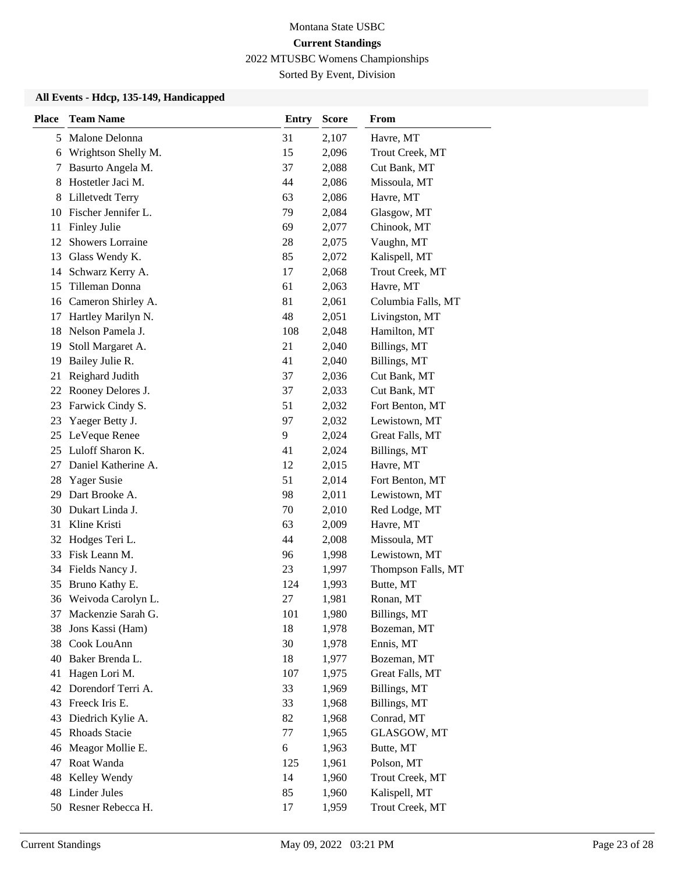Sorted By Event, Division

#### **All Events - Hdcp, 135-149, Handicapped**

| <b>Place</b> | <b>Team Name</b>      | <b>Entry</b> | <b>Score</b> | From               |
|--------------|-----------------------|--------------|--------------|--------------------|
| 5            | Malone Delonna        | 31           | 2,107        | Havre, MT          |
| 6            | Wrightson Shelly M.   | 15           | 2,096        | Trout Creek, MT    |
| 7            | Basurto Angela M.     | 37           | 2,088        | Cut Bank, MT       |
| 8            | Hostetler Jaci M.     | 44           | 2,086        | Missoula, MT       |
| 8            | Lilletvedt Terry      | 63           | 2,086        | Havre, MT          |
| 10           | Fischer Jennifer L.   | 79           | 2,084        | Glasgow, MT        |
| 11           | Finley Julie          | 69           | 2,077        | Chinook, MT        |
| 12           | Showers Lorraine      | 28           | 2,075        | Vaughn, MT         |
| 13           | Glass Wendy K.        | 85           | 2,072        | Kalispell, MT      |
| 14           | Schwarz Kerry A.      | 17           | 2,068        | Trout Creek, MT    |
| 15           | Tilleman Donna        | 61           | 2,063        | Havre, MT          |
| 16           | Cameron Shirley A.    | 81           | 2,061        | Columbia Falls, MT |
| 17           | Hartley Marilyn N.    | 48           | 2,051        | Livingston, MT     |
| 18           | Nelson Pamela J.      | 108          | 2,048        | Hamilton, MT       |
| 19           | Stoll Margaret A.     | 21           | 2,040        | Billings, MT       |
| 19           | Bailey Julie R.       | 41           | 2,040        | Billings, MT       |
| 21           | Reighard Judith       | 37           | 2,036        | Cut Bank, MT       |
| 22           | Rooney Delores J.     | 37           | 2,033        | Cut Bank, MT       |
| 23           | Farwick Cindy S.      | 51           | 2,032        | Fort Benton, MT    |
| 23           | Yaeger Betty J.       | 97           | 2,032        | Lewistown, MT      |
| 25           | LeVeque Renee         | 9            | 2,024        | Great Falls, MT    |
| 25           | Luloff Sharon K.      | 41           | 2,024        | Billings, MT       |
| 27           | Daniel Katherine A.   | 12           | 2,015        | Havre, MT          |
| 28           | Yager Susie           | 51           | 2,014        | Fort Benton, MT    |
| 29           | Dart Brooke A.        | 98           | 2,011        | Lewistown, MT      |
| 30           | Dukart Linda J.       | 70           | 2,010        | Red Lodge, MT      |
| 31           | Kline Kristi          | 63           | 2,009        | Havre, MT          |
|              | 32 Hodges Teri L.     | 44           | 2,008        | Missoula, MT       |
| 33           | Fisk Leann M.         | 96           | 1,998        | Lewistown, MT      |
| 34           | Fields Nancy J.       | 23           | 1,997        | Thompson Falls, MT |
| 35           | Bruno Kathy E.        | 124          | 1,993        | Butte, MT          |
|              | 36 Weivoda Carolyn L. | 27           | 1,981        | Ronan, MT          |
| 37           | Mackenzie Sarah G.    | 101          | 1,980        | Billings, MT       |
| 38           | Jons Kassi (Ham)      | 18           | 1,978        | Bozeman, MT        |
| 38           | Cook LouAnn           | 30           | 1,978        | Ennis, MT          |
| 40           | Baker Brenda L.       | 18           | 1,977        | Bozeman, MT        |
| 41           | Hagen Lori M.         | 107          | 1,975        | Great Falls, MT    |
| 42           | Dorendorf Terri A.    | 33           | 1,969        | Billings, MT       |
| 43           | Freeck Iris E.        | 33           | 1,968        | Billings, MT       |
| 43           | Diedrich Kylie A.     | 82           | 1,968        | Conrad, MT         |
| 45           | Rhoads Stacie         | 77           | 1,965        | GLASGOW, MT        |
| 46           | Meagor Mollie E.      | 6            | 1,963        | Butte, MT          |
| 47           | Roat Wanda            | 125          | 1,961        | Polson, MT         |
| 48           | Kelley Wendy          | 14           | 1,960        | Trout Creek, MT    |
| 48           | Linder Jules          | 85           | 1,960        | Kalispell, MT      |
|              | 50 Resner Rebecca H.  | 17           | 1,959        | Trout Creek, MT    |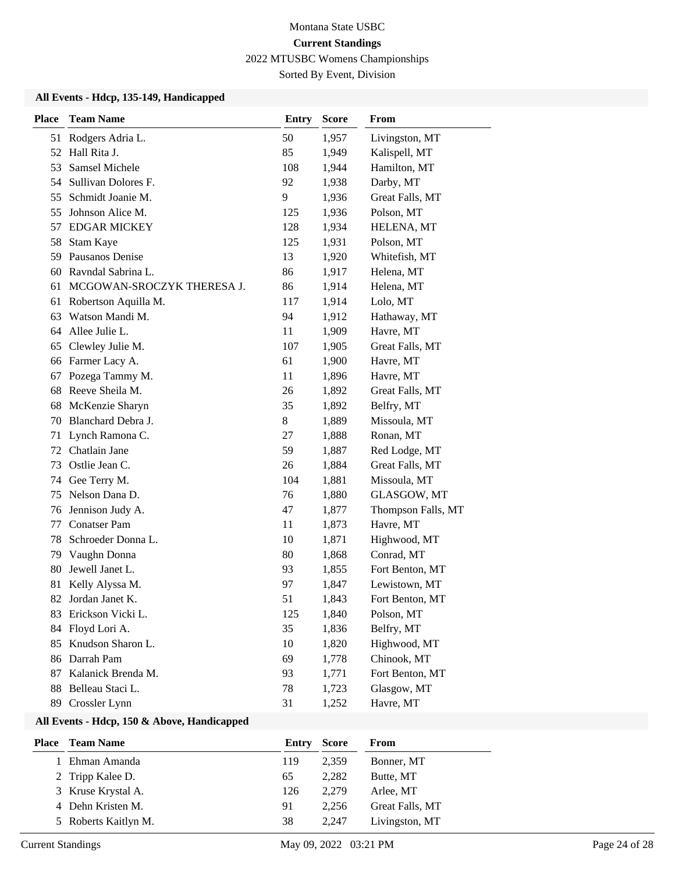Sorted By Event, Division

#### **All Events - Hdcp, 135-149, Handicapped**

| <b>Place</b> | <b>Team Name</b>           | <b>Entry</b> | <b>Score</b> | From               |
|--------------|----------------------------|--------------|--------------|--------------------|
| 51           | Rodgers Adria L.           | 50           | 1,957        | Livingston, MT     |
| 52           | Hall Rita J.               | 85           | 1,949        | Kalispell, MT      |
| 53           | Samsel Michele             | 108          | 1,944        | Hamilton, MT       |
| 54           | Sullivan Dolores F.        | 92           | 1,938        | Darby, MT          |
| 55           | Schmidt Joanie M.          | 9            | 1,936        | Great Falls, MT    |
| 55           | Johnson Alice M.           | 125          | 1,936        | Polson, MT         |
| 57           | <b>EDGAR MICKEY</b>        | 128          | 1,934        | HELENA, MT         |
| 58           | Stam Kaye                  | 125          | 1,931        | Polson, MT         |
| 59           | Pausanos Denise            | 13           | 1,920        | Whitefish, MT      |
| 60           | Ravndal Sabrina L.         | 86           | 1,917        | Helena, MT         |
| 61           | MCGOWAN-SROCZYK THERESA J. | 86           | 1,914        | Helena, MT         |
| 61           | Robertson Aquilla M.       | 117          | 1,914        | Lolo, MT           |
| 63           | Watson Mandi M.            | 94           | 1,912        | Hathaway, MT       |
| 64           | Allee Julie L.             | 11           | 1,909        | Havre, MT          |
| 65           | Clewley Julie M.           | 107          | 1,905        | Great Falls, MT    |
| 66           | Farmer Lacy A.             | 61           | 1,900        | Havre, MT          |
| 67           | Pozega Tammy M.            | 11           | 1,896        | Havre, MT          |
| 68           | Reeve Sheila M.            | 26           | 1,892        | Great Falls, MT    |
| 68           | McKenzie Sharyn            | 35           | 1,892        | Belfry, MT         |
| 70           | Blanchard Debra J.         | 8            | 1,889        | Missoula, MT       |
| 71           | Lynch Ramona C.            | 27           | 1,888        | Ronan, MT          |
| 72           | Chatlain Jane              | 59           | 1,887        | Red Lodge, MT      |
| 73           | Ostlie Jean C.             | 26           | 1,884        | Great Falls, MT    |
| 74           | Gee Terry M.               | 104          | 1,881        | Missoula, MT       |
| 75           | Nelson Dana D.             | 76           | 1,880        | GLASGOW, MT        |
| 76           | Jennison Judy A.           | 47           | 1,877        | Thompson Falls, MT |
| 77           | <b>Conatser Pam</b>        | 11           | 1,873        | Havre, MT          |
| 78           | Schroeder Donna L.         | 10           | 1,871        | Highwood, MT       |
| 79           | Vaughn Donna               | 80           | 1,868        | Conrad, MT         |
| 80           | Jewell Janet L.            | 93           | 1,855        | Fort Benton, MT    |
| 81           | Kelly Alyssa M.            | 97           | 1,847        | Lewistown, MT      |
| 82           | Jordan Janet K.            | 51           | 1,843        | Fort Benton, MT    |
| 83           | Erickson Vicki L.          | 125          | 1,840        | Polson, MT         |
| 84           | Floyd Lori A.              | 35           | 1,836        | Belfry, MT         |
| 85           | Knudson Sharon L.          | 10           | 1,820        | Highwood, MT       |
| 86           | Darrah Pam                 | 69           | 1,778        | Chinook, MT        |
| 87           | Kalanick Brenda M.         | 93           | 1,771        | Fort Benton, MT    |
| 88           | Belleau Staci L.           | 78           | 1,723        | Glasgow, MT        |
| 89           | Crossler Lynn              | 31           | 1,252        | Havre, MT          |

### **All Events - Hdcp, 150 & Above, Handicapped**

| Place | <b>Team Name</b>     | Entry | Score | From            |
|-------|----------------------|-------|-------|-----------------|
|       | Ehman Amanda         | 119   | 2.359 | Bonner, MT      |
|       | 2 Tripp Kalee D.     | 65    | 2.282 | Butte, MT       |
|       | 3 Kruse Krystal A.   | 126   | 2.279 | Arlee, MT       |
|       | 4 Dehn Kristen M.    | 91    | 2.256 | Great Falls, MT |
|       | 5 Roberts Kaitlyn M. | 38    | 2.247 | Livingston, MT  |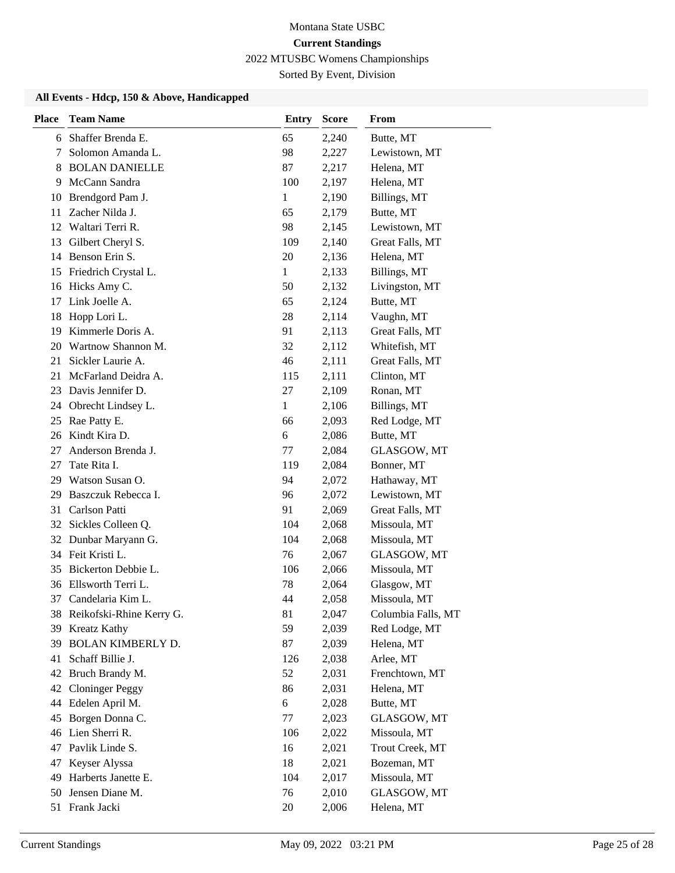Sorted By Event, Division

#### **All Events - Hdcp, 150 & Above, Handicapped**

| Shaffer Brenda E.<br>65<br>Butte, MT<br>2,240<br>6<br>98<br>Solomon Amanda L.<br>2,227<br>Lewistown, MT<br>7<br><b>BOLAN DANIELLE</b><br>87<br>2,217<br>Helena, MT<br>8<br>McCann Sandra<br>100<br>2,197<br>Helena, MT<br>9<br>Brendgord Pam J.<br>$\mathbf{1}$<br>2,190<br>Billings, MT<br>10<br>Zacher Nilda J.<br>11<br>65<br>2,179<br>Butte, MT<br>Waltari Terri R.<br>98<br>Lewistown, MT<br>12<br>2,145<br>Gilbert Cheryl S.<br>109<br>2,140<br>Great Falls, MT<br>13<br>Benson Erin S.<br>20<br>2,136<br>Helena, MT<br>14<br>Friedrich Crystal L.<br>1<br>2,133<br>Billings, MT<br>15<br>Livingston, MT<br>Hicks Amy C.<br>50<br>2,132<br>16<br>Link Joelle A.<br>Butte, MT<br>17<br>65<br>2,124<br>Hopp Lori L.<br>28<br>2,114<br>Vaughn, MT<br>18<br>19<br>Kimmerle Doris A.<br>91<br>2,113<br>Great Falls, MT<br>Wartnow Shannon M.<br>32<br>Whitefish, MT<br>20<br>2,112<br>Sickler Laurie A.<br>46<br>2,111<br>Great Falls, MT<br>21<br>McFarland Deidra A.<br>21<br>2,111<br>Clinton, MT<br>115<br>Davis Jennifer D.<br>Ronan, MT<br>23<br>27<br>2,109<br>$\mathbf{1}$<br>Obrecht Lindsey L.<br>Billings, MT<br>24<br>2,106<br>Rae Patty E.<br>66<br>2,093<br>Red Lodge, MT<br>25<br>Kindt Kira D.<br>6<br>2,086<br>Butte, MT<br>26<br>Anderson Brenda J.<br>77<br>GLASGOW, MT<br>27<br>2,084<br>Tate Rita I.<br>119<br>Bonner, MT<br>27<br>2,084<br>Watson Susan O.<br>Hathaway, MT<br>94<br>2,072<br>29<br>Baszczuk Rebecca I.<br>96<br>2,072<br>Lewistown, MT<br>29<br>Carlson Patti<br>31<br>91<br>2,069<br>Great Falls, MT<br>Sickles Colleen Q.<br>Missoula, MT<br>32<br>104<br>2,068<br>32<br>Dunbar Maryann G.<br>104<br>2,068<br>Missoula, MT<br>34 Feit Kristi L.<br>76<br>GLASGOW, MT<br>2,067<br>Bickerton Debbie L.<br>106<br>Missoula, MT<br>35<br>2,066<br>Ellsworth Terri L.<br>78<br>Glasgow, MT<br>36<br>2,064<br>37<br>44<br>Candelaria Kim L.<br>2,058<br>Missoula, MT<br>38 Reikofski-Rhine Kerry G.<br>81<br>2,047<br>Columbia Falls, MT<br>59<br>39 Kreatz Kathy<br>2,039<br>Red Lodge, MT<br><b>BOLAN KIMBERLY D.</b><br>87<br>2,039<br>Helena, MT<br>39<br>Schaff Billie J.<br>126<br>Arlee, MT<br>41<br>2,038<br>Bruch Brandy M.<br>52<br>Frenchtown, MT<br>2,031<br>42<br><b>Cloninger Peggy</b><br>86<br>2,031<br>Helena, MT<br>42<br>44 Edelen April M.<br>6<br>2,028<br>Butte, MT<br>Borgen Donna C.<br>GLASGOW, MT<br>45<br>77<br>2,023<br>Lien Sherri R.<br>106<br>Missoula, MT<br>2,022<br>46<br>Pavlik Linde S.<br>16<br>2,021<br>Trout Creek, MT<br>47<br>Keyser Alyssa<br>18<br>Bozeman, MT<br>2,021<br>47<br>Harberts Janette E.<br>104<br>Missoula, MT<br>49<br>2,017<br>Jensen Diane M.<br>GLASGOW, MT<br>76<br>2,010<br>50 | <b>Place</b> | <b>Team Name</b> | <b>Entry</b> | <b>Score</b> | From       |
|---------------------------------------------------------------------------------------------------------------------------------------------------------------------------------------------------------------------------------------------------------------------------------------------------------------------------------------------------------------------------------------------------------------------------------------------------------------------------------------------------------------------------------------------------------------------------------------------------------------------------------------------------------------------------------------------------------------------------------------------------------------------------------------------------------------------------------------------------------------------------------------------------------------------------------------------------------------------------------------------------------------------------------------------------------------------------------------------------------------------------------------------------------------------------------------------------------------------------------------------------------------------------------------------------------------------------------------------------------------------------------------------------------------------------------------------------------------------------------------------------------------------------------------------------------------------------------------------------------------------------------------------------------------------------------------------------------------------------------------------------------------------------------------------------------------------------------------------------------------------------------------------------------------------------------------------------------------------------------------------------------------------------------------------------------------------------------------------------------------------------------------------------------------------------------------------------------------------------------------------------------------------------------------------------------------------------------------------------------------------------------------------------------------------------------------------------------------------------------------------------------------------------------------------------------------------------------------------------------------------------------------------------------------------------------|--------------|------------------|--------------|--------------|------------|
|                                                                                                                                                                                                                                                                                                                                                                                                                                                                                                                                                                                                                                                                                                                                                                                                                                                                                                                                                                                                                                                                                                                                                                                                                                                                                                                                                                                                                                                                                                                                                                                                                                                                                                                                                                                                                                                                                                                                                                                                                                                                                                                                                                                                                                                                                                                                                                                                                                                                                                                                                                                                                                                                                 |              |                  |              |              |            |
|                                                                                                                                                                                                                                                                                                                                                                                                                                                                                                                                                                                                                                                                                                                                                                                                                                                                                                                                                                                                                                                                                                                                                                                                                                                                                                                                                                                                                                                                                                                                                                                                                                                                                                                                                                                                                                                                                                                                                                                                                                                                                                                                                                                                                                                                                                                                                                                                                                                                                                                                                                                                                                                                                 |              |                  |              |              |            |
|                                                                                                                                                                                                                                                                                                                                                                                                                                                                                                                                                                                                                                                                                                                                                                                                                                                                                                                                                                                                                                                                                                                                                                                                                                                                                                                                                                                                                                                                                                                                                                                                                                                                                                                                                                                                                                                                                                                                                                                                                                                                                                                                                                                                                                                                                                                                                                                                                                                                                                                                                                                                                                                                                 |              |                  |              |              |            |
|                                                                                                                                                                                                                                                                                                                                                                                                                                                                                                                                                                                                                                                                                                                                                                                                                                                                                                                                                                                                                                                                                                                                                                                                                                                                                                                                                                                                                                                                                                                                                                                                                                                                                                                                                                                                                                                                                                                                                                                                                                                                                                                                                                                                                                                                                                                                                                                                                                                                                                                                                                                                                                                                                 |              |                  |              |              |            |
|                                                                                                                                                                                                                                                                                                                                                                                                                                                                                                                                                                                                                                                                                                                                                                                                                                                                                                                                                                                                                                                                                                                                                                                                                                                                                                                                                                                                                                                                                                                                                                                                                                                                                                                                                                                                                                                                                                                                                                                                                                                                                                                                                                                                                                                                                                                                                                                                                                                                                                                                                                                                                                                                                 |              |                  |              |              |            |
|                                                                                                                                                                                                                                                                                                                                                                                                                                                                                                                                                                                                                                                                                                                                                                                                                                                                                                                                                                                                                                                                                                                                                                                                                                                                                                                                                                                                                                                                                                                                                                                                                                                                                                                                                                                                                                                                                                                                                                                                                                                                                                                                                                                                                                                                                                                                                                                                                                                                                                                                                                                                                                                                                 |              |                  |              |              |            |
|                                                                                                                                                                                                                                                                                                                                                                                                                                                                                                                                                                                                                                                                                                                                                                                                                                                                                                                                                                                                                                                                                                                                                                                                                                                                                                                                                                                                                                                                                                                                                                                                                                                                                                                                                                                                                                                                                                                                                                                                                                                                                                                                                                                                                                                                                                                                                                                                                                                                                                                                                                                                                                                                                 |              |                  |              |              |            |
|                                                                                                                                                                                                                                                                                                                                                                                                                                                                                                                                                                                                                                                                                                                                                                                                                                                                                                                                                                                                                                                                                                                                                                                                                                                                                                                                                                                                                                                                                                                                                                                                                                                                                                                                                                                                                                                                                                                                                                                                                                                                                                                                                                                                                                                                                                                                                                                                                                                                                                                                                                                                                                                                                 |              |                  |              |              |            |
|                                                                                                                                                                                                                                                                                                                                                                                                                                                                                                                                                                                                                                                                                                                                                                                                                                                                                                                                                                                                                                                                                                                                                                                                                                                                                                                                                                                                                                                                                                                                                                                                                                                                                                                                                                                                                                                                                                                                                                                                                                                                                                                                                                                                                                                                                                                                                                                                                                                                                                                                                                                                                                                                                 |              |                  |              |              |            |
|                                                                                                                                                                                                                                                                                                                                                                                                                                                                                                                                                                                                                                                                                                                                                                                                                                                                                                                                                                                                                                                                                                                                                                                                                                                                                                                                                                                                                                                                                                                                                                                                                                                                                                                                                                                                                                                                                                                                                                                                                                                                                                                                                                                                                                                                                                                                                                                                                                                                                                                                                                                                                                                                                 |              |                  |              |              |            |
|                                                                                                                                                                                                                                                                                                                                                                                                                                                                                                                                                                                                                                                                                                                                                                                                                                                                                                                                                                                                                                                                                                                                                                                                                                                                                                                                                                                                                                                                                                                                                                                                                                                                                                                                                                                                                                                                                                                                                                                                                                                                                                                                                                                                                                                                                                                                                                                                                                                                                                                                                                                                                                                                                 |              |                  |              |              |            |
|                                                                                                                                                                                                                                                                                                                                                                                                                                                                                                                                                                                                                                                                                                                                                                                                                                                                                                                                                                                                                                                                                                                                                                                                                                                                                                                                                                                                                                                                                                                                                                                                                                                                                                                                                                                                                                                                                                                                                                                                                                                                                                                                                                                                                                                                                                                                                                                                                                                                                                                                                                                                                                                                                 |              |                  |              |              |            |
|                                                                                                                                                                                                                                                                                                                                                                                                                                                                                                                                                                                                                                                                                                                                                                                                                                                                                                                                                                                                                                                                                                                                                                                                                                                                                                                                                                                                                                                                                                                                                                                                                                                                                                                                                                                                                                                                                                                                                                                                                                                                                                                                                                                                                                                                                                                                                                                                                                                                                                                                                                                                                                                                                 |              |                  |              |              |            |
|                                                                                                                                                                                                                                                                                                                                                                                                                                                                                                                                                                                                                                                                                                                                                                                                                                                                                                                                                                                                                                                                                                                                                                                                                                                                                                                                                                                                                                                                                                                                                                                                                                                                                                                                                                                                                                                                                                                                                                                                                                                                                                                                                                                                                                                                                                                                                                                                                                                                                                                                                                                                                                                                                 |              |                  |              |              |            |
|                                                                                                                                                                                                                                                                                                                                                                                                                                                                                                                                                                                                                                                                                                                                                                                                                                                                                                                                                                                                                                                                                                                                                                                                                                                                                                                                                                                                                                                                                                                                                                                                                                                                                                                                                                                                                                                                                                                                                                                                                                                                                                                                                                                                                                                                                                                                                                                                                                                                                                                                                                                                                                                                                 |              |                  |              |              |            |
|                                                                                                                                                                                                                                                                                                                                                                                                                                                                                                                                                                                                                                                                                                                                                                                                                                                                                                                                                                                                                                                                                                                                                                                                                                                                                                                                                                                                                                                                                                                                                                                                                                                                                                                                                                                                                                                                                                                                                                                                                                                                                                                                                                                                                                                                                                                                                                                                                                                                                                                                                                                                                                                                                 |              |                  |              |              |            |
|                                                                                                                                                                                                                                                                                                                                                                                                                                                                                                                                                                                                                                                                                                                                                                                                                                                                                                                                                                                                                                                                                                                                                                                                                                                                                                                                                                                                                                                                                                                                                                                                                                                                                                                                                                                                                                                                                                                                                                                                                                                                                                                                                                                                                                                                                                                                                                                                                                                                                                                                                                                                                                                                                 |              |                  |              |              |            |
|                                                                                                                                                                                                                                                                                                                                                                                                                                                                                                                                                                                                                                                                                                                                                                                                                                                                                                                                                                                                                                                                                                                                                                                                                                                                                                                                                                                                                                                                                                                                                                                                                                                                                                                                                                                                                                                                                                                                                                                                                                                                                                                                                                                                                                                                                                                                                                                                                                                                                                                                                                                                                                                                                 |              |                  |              |              |            |
|                                                                                                                                                                                                                                                                                                                                                                                                                                                                                                                                                                                                                                                                                                                                                                                                                                                                                                                                                                                                                                                                                                                                                                                                                                                                                                                                                                                                                                                                                                                                                                                                                                                                                                                                                                                                                                                                                                                                                                                                                                                                                                                                                                                                                                                                                                                                                                                                                                                                                                                                                                                                                                                                                 |              |                  |              |              |            |
|                                                                                                                                                                                                                                                                                                                                                                                                                                                                                                                                                                                                                                                                                                                                                                                                                                                                                                                                                                                                                                                                                                                                                                                                                                                                                                                                                                                                                                                                                                                                                                                                                                                                                                                                                                                                                                                                                                                                                                                                                                                                                                                                                                                                                                                                                                                                                                                                                                                                                                                                                                                                                                                                                 |              |                  |              |              |            |
|                                                                                                                                                                                                                                                                                                                                                                                                                                                                                                                                                                                                                                                                                                                                                                                                                                                                                                                                                                                                                                                                                                                                                                                                                                                                                                                                                                                                                                                                                                                                                                                                                                                                                                                                                                                                                                                                                                                                                                                                                                                                                                                                                                                                                                                                                                                                                                                                                                                                                                                                                                                                                                                                                 |              |                  |              |              |            |
|                                                                                                                                                                                                                                                                                                                                                                                                                                                                                                                                                                                                                                                                                                                                                                                                                                                                                                                                                                                                                                                                                                                                                                                                                                                                                                                                                                                                                                                                                                                                                                                                                                                                                                                                                                                                                                                                                                                                                                                                                                                                                                                                                                                                                                                                                                                                                                                                                                                                                                                                                                                                                                                                                 |              |                  |              |              |            |
|                                                                                                                                                                                                                                                                                                                                                                                                                                                                                                                                                                                                                                                                                                                                                                                                                                                                                                                                                                                                                                                                                                                                                                                                                                                                                                                                                                                                                                                                                                                                                                                                                                                                                                                                                                                                                                                                                                                                                                                                                                                                                                                                                                                                                                                                                                                                                                                                                                                                                                                                                                                                                                                                                 |              |                  |              |              |            |
|                                                                                                                                                                                                                                                                                                                                                                                                                                                                                                                                                                                                                                                                                                                                                                                                                                                                                                                                                                                                                                                                                                                                                                                                                                                                                                                                                                                                                                                                                                                                                                                                                                                                                                                                                                                                                                                                                                                                                                                                                                                                                                                                                                                                                                                                                                                                                                                                                                                                                                                                                                                                                                                                                 |              |                  |              |              |            |
|                                                                                                                                                                                                                                                                                                                                                                                                                                                                                                                                                                                                                                                                                                                                                                                                                                                                                                                                                                                                                                                                                                                                                                                                                                                                                                                                                                                                                                                                                                                                                                                                                                                                                                                                                                                                                                                                                                                                                                                                                                                                                                                                                                                                                                                                                                                                                                                                                                                                                                                                                                                                                                                                                 |              |                  |              |              |            |
|                                                                                                                                                                                                                                                                                                                                                                                                                                                                                                                                                                                                                                                                                                                                                                                                                                                                                                                                                                                                                                                                                                                                                                                                                                                                                                                                                                                                                                                                                                                                                                                                                                                                                                                                                                                                                                                                                                                                                                                                                                                                                                                                                                                                                                                                                                                                                                                                                                                                                                                                                                                                                                                                                 |              |                  |              |              |            |
|                                                                                                                                                                                                                                                                                                                                                                                                                                                                                                                                                                                                                                                                                                                                                                                                                                                                                                                                                                                                                                                                                                                                                                                                                                                                                                                                                                                                                                                                                                                                                                                                                                                                                                                                                                                                                                                                                                                                                                                                                                                                                                                                                                                                                                                                                                                                                                                                                                                                                                                                                                                                                                                                                 |              |                  |              |              |            |
|                                                                                                                                                                                                                                                                                                                                                                                                                                                                                                                                                                                                                                                                                                                                                                                                                                                                                                                                                                                                                                                                                                                                                                                                                                                                                                                                                                                                                                                                                                                                                                                                                                                                                                                                                                                                                                                                                                                                                                                                                                                                                                                                                                                                                                                                                                                                                                                                                                                                                                                                                                                                                                                                                 |              |                  |              |              |            |
|                                                                                                                                                                                                                                                                                                                                                                                                                                                                                                                                                                                                                                                                                                                                                                                                                                                                                                                                                                                                                                                                                                                                                                                                                                                                                                                                                                                                                                                                                                                                                                                                                                                                                                                                                                                                                                                                                                                                                                                                                                                                                                                                                                                                                                                                                                                                                                                                                                                                                                                                                                                                                                                                                 |              |                  |              |              |            |
|                                                                                                                                                                                                                                                                                                                                                                                                                                                                                                                                                                                                                                                                                                                                                                                                                                                                                                                                                                                                                                                                                                                                                                                                                                                                                                                                                                                                                                                                                                                                                                                                                                                                                                                                                                                                                                                                                                                                                                                                                                                                                                                                                                                                                                                                                                                                                                                                                                                                                                                                                                                                                                                                                 |              |                  |              |              |            |
|                                                                                                                                                                                                                                                                                                                                                                                                                                                                                                                                                                                                                                                                                                                                                                                                                                                                                                                                                                                                                                                                                                                                                                                                                                                                                                                                                                                                                                                                                                                                                                                                                                                                                                                                                                                                                                                                                                                                                                                                                                                                                                                                                                                                                                                                                                                                                                                                                                                                                                                                                                                                                                                                                 |              |                  |              |              |            |
|                                                                                                                                                                                                                                                                                                                                                                                                                                                                                                                                                                                                                                                                                                                                                                                                                                                                                                                                                                                                                                                                                                                                                                                                                                                                                                                                                                                                                                                                                                                                                                                                                                                                                                                                                                                                                                                                                                                                                                                                                                                                                                                                                                                                                                                                                                                                                                                                                                                                                                                                                                                                                                                                                 |              |                  |              |              |            |
|                                                                                                                                                                                                                                                                                                                                                                                                                                                                                                                                                                                                                                                                                                                                                                                                                                                                                                                                                                                                                                                                                                                                                                                                                                                                                                                                                                                                                                                                                                                                                                                                                                                                                                                                                                                                                                                                                                                                                                                                                                                                                                                                                                                                                                                                                                                                                                                                                                                                                                                                                                                                                                                                                 |              |                  |              |              |            |
|                                                                                                                                                                                                                                                                                                                                                                                                                                                                                                                                                                                                                                                                                                                                                                                                                                                                                                                                                                                                                                                                                                                                                                                                                                                                                                                                                                                                                                                                                                                                                                                                                                                                                                                                                                                                                                                                                                                                                                                                                                                                                                                                                                                                                                                                                                                                                                                                                                                                                                                                                                                                                                                                                 |              |                  |              |              |            |
|                                                                                                                                                                                                                                                                                                                                                                                                                                                                                                                                                                                                                                                                                                                                                                                                                                                                                                                                                                                                                                                                                                                                                                                                                                                                                                                                                                                                                                                                                                                                                                                                                                                                                                                                                                                                                                                                                                                                                                                                                                                                                                                                                                                                                                                                                                                                                                                                                                                                                                                                                                                                                                                                                 |              |                  |              |              |            |
|                                                                                                                                                                                                                                                                                                                                                                                                                                                                                                                                                                                                                                                                                                                                                                                                                                                                                                                                                                                                                                                                                                                                                                                                                                                                                                                                                                                                                                                                                                                                                                                                                                                                                                                                                                                                                                                                                                                                                                                                                                                                                                                                                                                                                                                                                                                                                                                                                                                                                                                                                                                                                                                                                 |              |                  |              |              |            |
|                                                                                                                                                                                                                                                                                                                                                                                                                                                                                                                                                                                                                                                                                                                                                                                                                                                                                                                                                                                                                                                                                                                                                                                                                                                                                                                                                                                                                                                                                                                                                                                                                                                                                                                                                                                                                                                                                                                                                                                                                                                                                                                                                                                                                                                                                                                                                                                                                                                                                                                                                                                                                                                                                 |              |                  |              |              |            |
|                                                                                                                                                                                                                                                                                                                                                                                                                                                                                                                                                                                                                                                                                                                                                                                                                                                                                                                                                                                                                                                                                                                                                                                                                                                                                                                                                                                                                                                                                                                                                                                                                                                                                                                                                                                                                                                                                                                                                                                                                                                                                                                                                                                                                                                                                                                                                                                                                                                                                                                                                                                                                                                                                 |              |                  |              |              |            |
|                                                                                                                                                                                                                                                                                                                                                                                                                                                                                                                                                                                                                                                                                                                                                                                                                                                                                                                                                                                                                                                                                                                                                                                                                                                                                                                                                                                                                                                                                                                                                                                                                                                                                                                                                                                                                                                                                                                                                                                                                                                                                                                                                                                                                                                                                                                                                                                                                                                                                                                                                                                                                                                                                 |              |                  |              |              |            |
|                                                                                                                                                                                                                                                                                                                                                                                                                                                                                                                                                                                                                                                                                                                                                                                                                                                                                                                                                                                                                                                                                                                                                                                                                                                                                                                                                                                                                                                                                                                                                                                                                                                                                                                                                                                                                                                                                                                                                                                                                                                                                                                                                                                                                                                                                                                                                                                                                                                                                                                                                                                                                                                                                 |              |                  |              |              |            |
|                                                                                                                                                                                                                                                                                                                                                                                                                                                                                                                                                                                                                                                                                                                                                                                                                                                                                                                                                                                                                                                                                                                                                                                                                                                                                                                                                                                                                                                                                                                                                                                                                                                                                                                                                                                                                                                                                                                                                                                                                                                                                                                                                                                                                                                                                                                                                                                                                                                                                                                                                                                                                                                                                 |              |                  |              |              |            |
|                                                                                                                                                                                                                                                                                                                                                                                                                                                                                                                                                                                                                                                                                                                                                                                                                                                                                                                                                                                                                                                                                                                                                                                                                                                                                                                                                                                                                                                                                                                                                                                                                                                                                                                                                                                                                                                                                                                                                                                                                                                                                                                                                                                                                                                                                                                                                                                                                                                                                                                                                                                                                                                                                 |              |                  |              |              |            |
|                                                                                                                                                                                                                                                                                                                                                                                                                                                                                                                                                                                                                                                                                                                                                                                                                                                                                                                                                                                                                                                                                                                                                                                                                                                                                                                                                                                                                                                                                                                                                                                                                                                                                                                                                                                                                                                                                                                                                                                                                                                                                                                                                                                                                                                                                                                                                                                                                                                                                                                                                                                                                                                                                 |              |                  |              |              |            |
|                                                                                                                                                                                                                                                                                                                                                                                                                                                                                                                                                                                                                                                                                                                                                                                                                                                                                                                                                                                                                                                                                                                                                                                                                                                                                                                                                                                                                                                                                                                                                                                                                                                                                                                                                                                                                                                                                                                                                                                                                                                                                                                                                                                                                                                                                                                                                                                                                                                                                                                                                                                                                                                                                 |              |                  |              |              |            |
|                                                                                                                                                                                                                                                                                                                                                                                                                                                                                                                                                                                                                                                                                                                                                                                                                                                                                                                                                                                                                                                                                                                                                                                                                                                                                                                                                                                                                                                                                                                                                                                                                                                                                                                                                                                                                                                                                                                                                                                                                                                                                                                                                                                                                                                                                                                                                                                                                                                                                                                                                                                                                                                                                 | 51           | Frank Jacki      | $20\,$       | 2,006        | Helena, MT |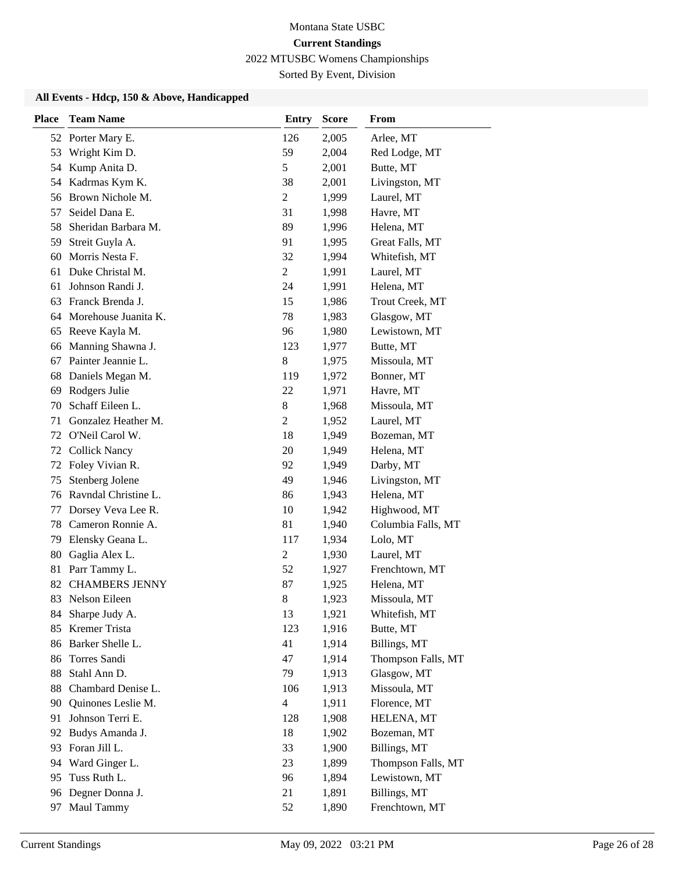# Montana State USBC **Current Standings**

2022 MTUSBC Womens Championships

# Sorted By Event, Division

### **All Events - Hdcp, 150 & Above, Handicapped**

| <b>Place</b> | <b>Team Name</b>      | <b>Entry</b>   | <b>Score</b> | From               |
|--------------|-----------------------|----------------|--------------|--------------------|
|              | 52 Porter Mary E.     | 126            | 2,005        | Arlee, MT          |
| 53           | Wright Kim D.         | 59             | 2,004        | Red Lodge, MT      |
|              | 54 Kump Anita D.      | 5              | 2,001        | Butte, MT          |
| 54           | Kadrmas Kym K.        | 38             | 2,001        | Livingston, MT     |
| 56           | Brown Nichole M.      | $\overline{c}$ | 1,999        | Laurel, MT         |
| 57           | Seidel Dana E.        | 31             | 1,998        | Havre, MT          |
| 58           | Sheridan Barbara M.   | 89             | 1,996        | Helena, MT         |
| 59           | Streit Guyla A.       | 91             | 1,995        | Great Falls, MT    |
| 60           | Morris Nesta F.       | 32             | 1,994        | Whitefish, MT      |
| 61           | Duke Christal M.      | $\overline{c}$ | 1,991        | Laurel, MT         |
| 61           | Johnson Randi J.      | 24             | 1,991        | Helena, MT         |
| 63           | Franck Brenda J.      | 15             | 1,986        | Trout Creek, MT    |
| 64           | Morehouse Juanita K.  | 78             | 1,983        | Glasgow, MT        |
| 65           | Reeve Kayla M.        | 96             | 1,980        | Lewistown, MT      |
| 66           | Manning Shawna J.     | 123            | 1,977        | Butte, MT          |
| 67           | Painter Jeannie L.    | $8\,$          | 1,975        | Missoula, MT       |
| 68           | Daniels Megan M.      | 119            | 1,972        | Bonner, MT         |
| 69           | Rodgers Julie         | 22             | 1,971        | Havre, MT          |
| 70           | Schaff Eileen L.      | $8\,$          | 1,968        | Missoula, MT       |
| 71           | Gonzalez Heather M.   | $\overline{c}$ | 1,952        | Laurel, MT         |
| 72           | O'Neil Carol W.       | 18             | 1,949        | Bozeman, MT        |
| 72           | <b>Collick Nancy</b>  | 20             | 1,949        | Helena, MT         |
| 72           | Foley Vivian R.       | 92             | 1,949        | Darby, MT          |
| 75           | Stenberg Jolene       | 49             | 1,946        | Livingston, MT     |
| 76           | Ravndal Christine L.  | 86             | 1,943        | Helena, MT         |
| 77           | Dorsey Veva Lee R.    | 10             | 1,942        | Highwood, MT       |
| 78           | Cameron Ronnie A.     | 81             | 1,940        | Columbia Falls, MT |
| 79           | Elensky Geana L.      | 117            | 1,934        | Lolo, MT           |
| 80           | Gaglia Alex L.        | $\overline{c}$ | 1,930        | Laurel, MT         |
| 81           | Parr Tammy L.         | 52             | 1,927        | Frenchtown, MT     |
| 82           | <b>CHAMBERS JENNY</b> | 87             | 1,925        | Helena, MT         |
| 83           | Nelson Eileen         | $8\,$          | 1,923        | Missoula, MT       |
| 84.          | Sharpe Judy A.        | 13             | 1,921        | Whitefish, MT      |
| 85           | Kremer Trista         | 123            | 1,916        | Butte, MT          |
| 86           | Barker Shelle L.      | 41             | 1,914        | Billings, MT       |
| 86           | Torres Sandi          | 47             | 1,914        | Thompson Falls, MT |
| 88           | Stahl Ann D.          | 79             | 1,913        | Glasgow, MT        |
| 88           | Chambard Denise L.    | 106            | 1,913        | Missoula, MT       |
| 90           | Quinones Leslie M.    | $\overline{4}$ | 1,911        | Florence, MT       |
| 91           | Johnson Terri E.      | 128            | 1,908        | HELENA, MT         |
| 92           | Budys Amanda J.       | 18             | 1,902        | Bozeman, MT        |
| 93           | Foran Jill L.         | 33             | 1,900        | Billings, MT       |
| 94           | Ward Ginger L.        | 23             | 1,899        | Thompson Falls, MT |
| 95           | Tuss Ruth L.          | 96             | 1,894        | Lewistown, MT      |
| 96           | Degner Donna J.       | 21             | 1,891        | Billings, MT       |
| 97           | Maul Tammy            | 52             | 1,890        | Frenchtown, MT     |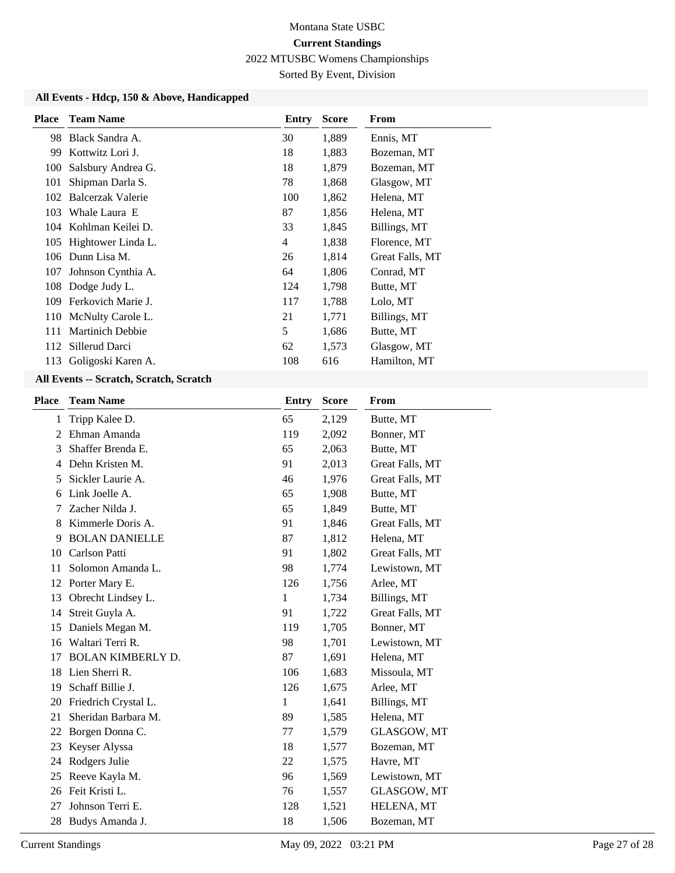# Montana State USBC **Current Standings**

2022 MTUSBC Womens Championships

Sorted By Event, Division

### **All Events - Hdcp, 150 & Above, Handicapped**

| <b>Place</b> | <b>Team Name</b>        | Entry          | Score | From            |
|--------------|-------------------------|----------------|-------|-----------------|
| 98.          | Black Sandra A.         | 30             | 1,889 | Ennis, MT       |
| 99.          | Kottwitz Lori J.        | 18             | 1,883 | Bozeman, MT     |
| 100          | Salsbury Andrea G.      | 18             | 1,879 | Bozeman, MT     |
| 101          | Shipman Darla S.        | 78             | 1,868 | Glasgow, MT     |
| 102          | Balcerzak Valerie       | 100            | 1,862 | Helena, MT      |
| 103          | Whale Laura E           | 87             | 1,856 | Helena, MT      |
| 104          | Kohlman Keilei D.       | 33             | 1,845 | Billings, MT    |
| 105          | Hightower Linda L.      | $\overline{4}$ | 1,838 | Florence, MT    |
| 106          | Dunn Lisa M.            | 26             | 1,814 | Great Falls, MT |
| 107          | Johnson Cynthia A.      | 64             | 1,806 | Conrad, MT      |
| 108          | Dodge Judy L.           | 124            | 1,798 | Butte, MT       |
| 109          | Ferkovich Marie J.      | 117            | 1,788 | Lolo, MT        |
| 110          | McNulty Carole L.       | 21             | 1,771 | Billings, MT    |
| 111          | <b>Martinich Debbie</b> | 5              | 1,686 | Butte, MT       |
|              | 112 Sillerud Darci      | 62             | 1,573 | Glasgow, MT     |
| 113          | Goligoski Karen A.      | 108            | 616   | Hamilton, MT    |

### **All Events -- Scratch, Scratch, Scratch**

| <b>Place</b> | <b>Team Name</b>         | <b>Entry</b> | <b>Score</b> | From            |
|--------------|--------------------------|--------------|--------------|-----------------|
| 1            | Tripp Kalee D.           | 65           | 2,129        | Butte, MT       |
| 2            | Ehman Amanda             | 119          | 2,092        | Bonner, MT      |
| 3            | Shaffer Brenda E.        | 65           | 2,063        | Butte, MT       |
| 4            | Dehn Kristen M.          | 91           | 2,013        | Great Falls, MT |
| 5            | Sickler Laurie A.        | 46           | 1,976        | Great Falls, MT |
| 6            | Link Joelle A.           | 65           | 1,908        | Butte, MT       |
| 7            | Zacher Nilda J.          | 65           | 1,849        | Butte, MT       |
| 8            | Kimmerle Doris A.        | 91           | 1,846        | Great Falls, MT |
| 9            | <b>BOLAN DANIELLE</b>    | 87           | 1,812        | Helena, MT      |
| 10           | Carlson Patti            | 91           | 1,802        | Great Falls, MT |
| 11           | Solomon Amanda L.        | 98           | 1,774        | Lewistown, MT   |
| 12           | Porter Mary E.           | 126          | 1,756        | Arlee, MT       |
| 13           | Obrecht Lindsey L.       | 1            | 1,734        | Billings, MT    |
| 14           | Streit Guyla A.          | 91           | 1,722        | Great Falls, MT |
| 15           | Daniels Megan M.         | 119          | 1,705        | Bonner, MT      |
| 16           | Waltari Terri R.         | 98           | 1,701        | Lewistown, MT   |
| 17           | <b>BOLAN KIMBERLY D.</b> | 87           | 1,691        | Helena, MT      |
| 18           | Lien Sherri R.           | 106          | 1,683        | Missoula, MT    |
| 19           | Schaff Billie J.         | 126          | 1,675        | Arlee, MT       |
| 20           | Friedrich Crystal L.     | 1            | 1,641        | Billings, MT    |
| 21           | Sheridan Barbara M.      | 89           | 1,585        | Helena, MT      |
| 22           | Borgen Donna C.          | 77           | 1,579        | GLASGOW, MT     |
| 23           | Keyser Alyssa            | 18           | 1,577        | Bozeman, MT     |
| 24           | Rodgers Julie            | 22           | 1,575        | Havre, MT       |
| 25           | Reeve Kayla M.           | 96           | 1,569        | Lewistown, MT   |
| 26           | Feit Kristi L.           | 76           | 1,557        | GLASGOW, MT     |
| 27           | Johnson Terri E.         | 128          | 1,521        | HELENA, MT      |
| 28           | Budys Amanda J.          | 18           | 1,506        | Bozeman, MT     |